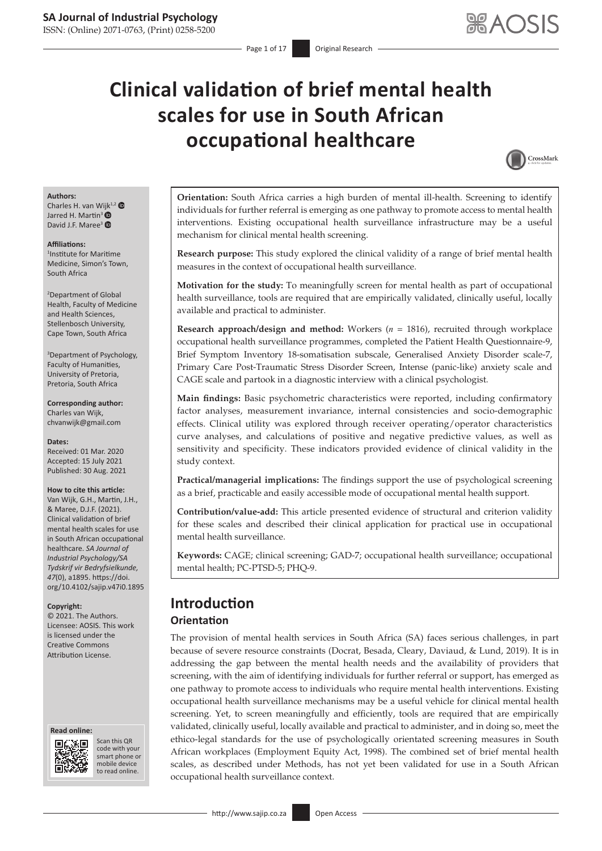# **Clinical validation of brief mental health scales for use in South African occupational healthcare**



#### **Authors:**

Charles H. van W[ijk](https://orcid.org/0000-0001-7406-147X)<sup>1,[2](https://orcid.org/0000-0003-4793-417X)</sup> Jarred H. Martin<sup>3</sup> David J.F. Maree<sup>3</sup>

#### **Affiliations:**

1 Institute for Maritime Medicine, Simon's Town, South Africa

2 Department of Global Health, Faculty of Medicine and Health Sciences, Stellenbosch University, Cape Town, South Africa

3 Department of Psychology, Faculty of Humanities, University of Pretoria, Pretoria, South Africa

**Corresponding author:** Charles van Wijk, [chvanwijk@gmail.com](mailto:chvanwijk@gmail.com)

**Dates:** Received: 01 Mar. 2020 Accepted: 15 July 2021 Published: 30 Aug. 2021

### **How to cite this article:**

Van Wijk, G.H., Martin, J.H., & Maree, D.J.F. (2021). Clinical validation of brief mental health scales for use in South African occupational healthcare. *SA Journal of Industrial Psychology/SA Tydskrif vir Bedryfsielkunde, 47*(0), a1895. [https://doi.](https://doi.org/10.4102/sajip.v47i0.1895) [org/10.4102/sajip.v47i0.1895](https://doi.org/10.4102/sajip.v47i0.1895)

#### **Copyright:**

© 2021. The Authors. Licensee: AOSIS. This work is licensed under the Creative Commons Attribution License.





Scan this QR code with your Scan this QR<br>code with your<br>smart phone or<br>mobile device mobile device to read online. to read online.

**Orientation:** South Africa carries a high burden of mental ill-health. Screening to identify individuals for further referral is emerging as one pathway to promote access to mental health interventions. Existing occupational health surveillance infrastructure may be a useful mechanism for clinical mental health screening.

**Research purpose:** This study explored the clinical validity of a range of brief mental health measures in the context of occupational health surveillance.

**Motivation for the study:** To meaningfully screen for mental health as part of occupational health surveillance, tools are required that are empirically validated, clinically useful, locally available and practical to administer.

**Research approach/design and method:** Workers (*n* = 1816), recruited through workplace occupational health surveillance programmes, completed the Patient Health Questionnaire-9, Brief Symptom Inventory 18-somatisation subscale, Generalised Anxiety Disorder scale-7, Primary Care Post-Traumatic Stress Disorder Screen, Intense (panic-like) anxiety scale and CAGE scale and partook in a diagnostic interview with a clinical psychologist.

**Main findings:** Basic psychometric characteristics were reported, including confirmatory factor analyses, measurement invariance, internal consistencies and socio-demographic effects. Clinical utility was explored through receiver operating/operator characteristics curve analyses, and calculations of positive and negative predictive values, as well as sensitivity and specificity. These indicators provided evidence of clinical validity in the study context.

**Practical/managerial implications:** The findings support the use of psychological screening as a brief, practicable and easily accessible mode of occupational mental health support.

**Contribution/value-add:** This article presented evidence of structural and criterion validity for these scales and described their clinical application for practical use in occupational mental health surveillance.

**Keywords:** CAGE; clinical screening; GAD-7; occupational health surveillance; occupational mental health; PC-PTSD-5; PHQ-9.

# **Introduction**

### **Orientation**

The provision of mental health services in South Africa (SA) faces serious challenges, in part because of severe resource constraints (Docrat, Besada, Cleary, Daviaud, & Lund, 2019). It is in addressing the gap between the mental health needs and the availability of providers that screening, with the aim of identifying individuals for further referral or support, has emerged as one pathway to promote access to individuals who require mental health interventions. Existing occupational health surveillance mechanisms may be a useful vehicle for clinical mental health screening. Yet, to screen meaningfully and efficiently, tools are required that are empirically validated, clinically useful, locally available and practical to administer, and in doing so, meet the ethico-legal standards for the use of psychologically orientated screening measures in South African workplaces (Employment Equity Act, 1998). The combined set of brief mental health scales, as described under Methods, has not yet been validated for use in a South African occupational health surveillance context.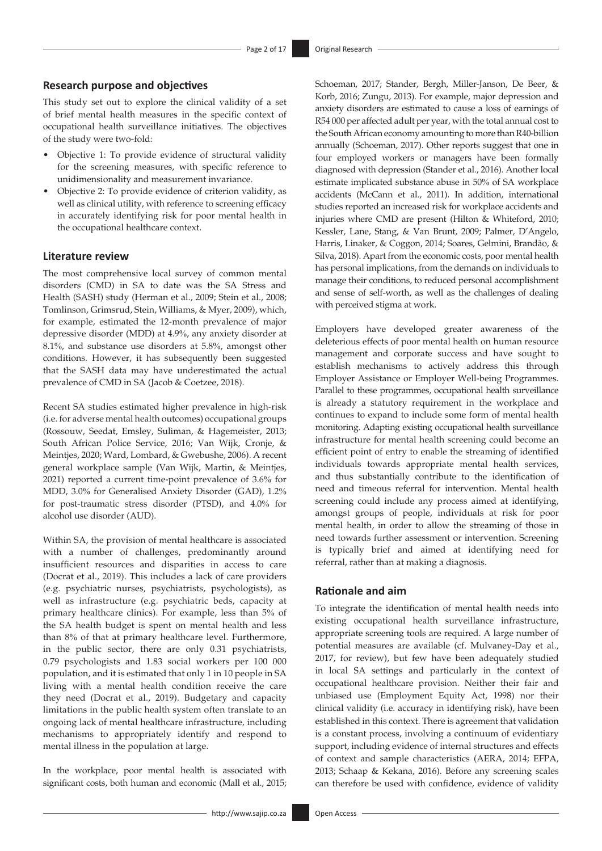### **Research purpose and objectives**

This study set out to explore the clinical validity of a set of brief mental health measures in the specific context of occupational health surveillance initiatives. The objectives of the study were two-fold:

- Objective 1: To provide evidence of structural validity for the screening measures, with specific reference to unidimensionality and measurement invariance.
- Objective 2: To provide evidence of criterion validity, as well as clinical utility, with reference to screening efficacy in accurately identifying risk for poor mental health in the occupational healthcare context.

### **Literature review**

The most comprehensive local survey of common mental disorders (CMD) in SA to date was the SA Stress and Health (SASH) study (Herman et al., 2009; Stein et al., 2008; Tomlinson, Grimsrud, Stein, Williams, & Myer, 2009), which, for example, estimated the 12-month prevalence of major depressive disorder (MDD) at 4.9%, any anxiety disorder at 8.1%, and substance use disorders at 5.8%, amongst other conditions. However, it has subsequently been suggested that the SASH data may have underestimated the actual prevalence of CMD in SA (Jacob & Coetzee, 2018).

Recent SA studies estimated higher prevalence in high-risk (i.e. for adverse mental health outcomes) occupational groups (Rossouw, Seedat, Emsley, Suliman, & Hagemeister, 2013; South African Police Service, 2016; Van Wijk, Cronje, & Meintjes, 2020; Ward, Lombard, & Gwebushe, 2006). A recent general workplace sample (Van Wijk, Martin, & Meintjes, 2021) reported a current time-point prevalence of 3.6% for MDD, 3.0% for Generalised Anxiety Disorder (GAD), 1.2% for post-traumatic stress disorder (PTSD), and 4.0% for alcohol use disorder (AUD).

Within SA, the provision of mental healthcare is associated with a number of challenges, predominantly around insufficient resources and disparities in access to care (Docrat et al., 2019). This includes a lack of care providers (e.g. psychiatric nurses, psychiatrists, psychologists), as well as infrastructure (e.g. psychiatric beds, capacity at primary healthcare clinics). For example, less than 5% of the SA health budget is spent on mental health and less than 8% of that at primary healthcare level. Furthermore, in the public sector, there are only 0.31 psychiatrists, 0.79 psychologists and 1.83 social workers per 100 000 population, and it is estimated that only 1 in 10 people in SA living with a mental health condition receive the care they need (Docrat et al., 2019). Budgetary and capacity limitations in the public health system often translate to an ongoing lack of mental healthcare infrastructure, including mechanisms to appropriately identify and respond to mental illness in the population at large.

In the workplace, poor mental health is associated with significant costs, both human and economic (Mall et al., 2015; Schoeman, 2017; Stander, Bergh, Miller-Janson, De Beer, & Korb, 2016; Zungu, 2013). For example, major depression and anxiety disorders are estimated to cause a loss of earnings of R54 000 per affected adult per year, with the total annual cost to the South African economy amounting to more than R40-billion annually (Schoeman, 2017). Other reports suggest that one in four employed workers or managers have been formally diagnosed with depression (Stander et al., 2016). Another local estimate implicated substance abuse in 50% of SA workplace accidents (McCann et al., 2011). In addition, international studies reported an increased risk for workplace accidents and injuries where CMD are present (Hilton & Whiteford, 2010; Kessler, Lane, Stang, & Van Brunt, 2009; Palmer, D'Angelo, Harris, Linaker, & Coggon, 2014; Soares, Gelmini, Brandão, & Silva, 2018). Apart from the economic costs, poor mental health has personal implications, from the demands on individuals to manage their conditions, to reduced personal accomplishment and sense of self-worth, as well as the challenges of dealing with perceived stigma at work.

Employers have developed greater awareness of the deleterious effects of poor mental health on human resource management and corporate success and have sought to establish mechanisms to actively address this through Employer Assistance or Employer Well-being Programmes. Parallel to these programmes, occupational health surveillance is already a statutory requirement in the workplace and continues to expand to include some form of mental health monitoring. Adapting existing occupational health surveillance infrastructure for mental health screening could become an efficient point of entry to enable the streaming of identified individuals towards appropriate mental health services, and thus substantially contribute to the identification of need and timeous referral for intervention. Mental health screening could include any process aimed at identifying, amongst groups of people, individuals at risk for poor mental health, in order to allow the streaming of those in need towards further assessment or intervention. Screening is typically brief and aimed at identifying need for referral, rather than at making a diagnosis.

### **Rationale and aim**

To integrate the identification of mental health needs into existing occupational health surveillance infrastructure, appropriate screening tools are required. A large number of potential measures are available (cf. Mulvaney-Day et al., 2017, for review), but few have been adequately studied in local SA settings and particularly in the context of occupational healthcare provision. Neither their fair and unbiased use (Employment Equity Act, 1998) nor their clinical validity (i.e. accuracy in identifying risk), have been established in this context. There is agreement that validation is a constant process, involving a continuum of evidentiary support, including evidence of internal structures and effects of context and sample characteristics (AERA, 2014; EFPA, 2013; Schaap & Kekana, 2016). Before any screening scales can therefore be used with confidence, evidence of validity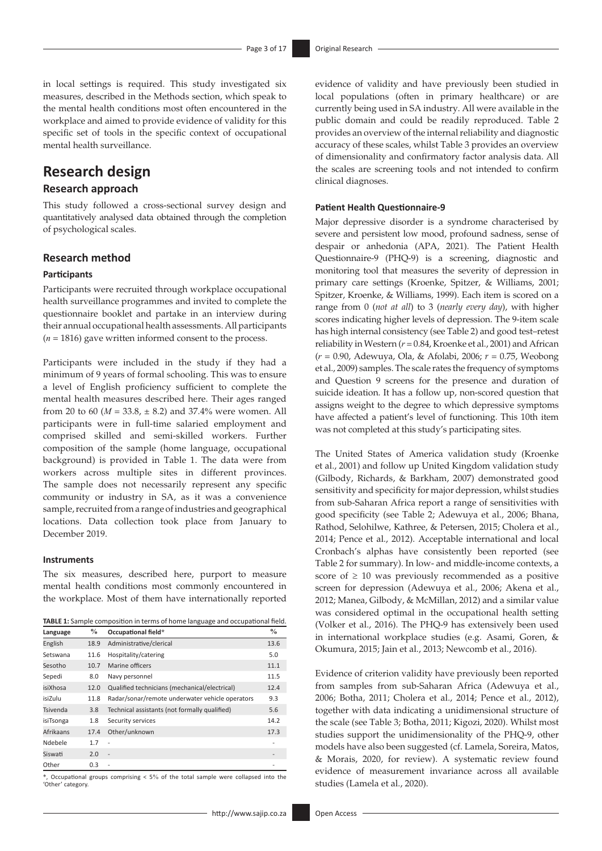in local settings is required. This study investigated six measures, described in the Methods section, which speak to the mental health conditions most often encountered in the workplace and aimed to provide evidence of validity for this specific set of tools in the specific context of occupational mental health surveillance.

## **Research design**

### **Research approach**

This study followed a cross-sectional survey design and quantitatively analysed data obtained through the completion of psychological scales.

### **Research method**

### **Participants**

Participants were recruited through workplace occupational health surveillance programmes and invited to complete the questionnaire booklet and partake in an interview during their annual occupational health assessments. All participants  $(n = 1816)$  gave written informed consent to the process.

Participants were included in the study if they had a minimum of 9 years of formal schooling. This was to ensure a level of English proficiency sufficient to complete the mental health measures described here. Their ages ranged from 20 to 60 ( $M = 33.8$ ,  $\pm$  8.2) and 37.4% were women. All participants were in full-time salaried employment and comprised skilled and semi-skilled workers. Further composition of the sample (home language, occupational background) is provided in Table 1. The data were from workers across multiple sites in different provinces. The sample does not necessarily represent any specific community or industry in SA, as it was a convenience sample, recruited from a range of industries and geographical locations. Data collection took place from January to December 2019.

### **Instruments**

The six measures, described here, purport to measure mental health conditions most commonly encountered in the workplace. Most of them have internationally reported

**TABLE 1:** Sample composition in terms of home language and occupational field.

| Language  | $\%$ | Occupational field*                             | $\frac{0}{0}$ |
|-----------|------|-------------------------------------------------|---------------|
| English   | 18.9 | Administrative/clerical                         | 13.6          |
| Setswana  | 11.6 | Hospitality/catering                            | 5.0           |
| Sesotho   | 10.7 | Marine officers                                 | 11.1          |
| Sepedi    | 8.0  | Navy personnel                                  | 11.5          |
| isiXhosa  | 12.0 | Qualified technicians (mechanical/electrical)   | 12.4          |
| isiZulu   | 11.8 | Radar/sonar/remote underwater vehicle operators | 9.3           |
| Tsivenda  | 3.8  | Technical assistants (not formally qualified)   | 5.6           |
| isiTsonga | 1.8  | Security services                               | 14.2          |
| Afrikaans | 17.4 | Other/unknown                                   | 17.3          |
| Ndebele   | 1.7  | $\overline{a}$                                  | -             |
| Siswati   | 2.0  | $\overline{a}$                                  |               |
| Other     | 0.3  | ٠                                               |               |

Occupational groups comprising  $<$  5% of the total sample were collapsed into the 'Other' category.

evidence of validity and have previously been studied in local populations (often in primary healthcare) or are currently being used in SA industry. All were available in the public domain and could be readily reproduced. Table 2 provides an overview of the internal reliability and diagnostic accuracy of these scales, whilst Table 3 provides an overview of dimensionality and confirmatory factor analysis data. All the scales are screening tools and not intended to confirm clinical diagnoses.

### **Patient Health Questionnaire-9**

Major depressive disorder is a syndrome characterised by severe and persistent low mood, profound sadness, sense of despair or anhedonia (APA, 2021). The Patient Health Questionnaire-9 (PHQ-9) is a screening, diagnostic and monitoring tool that measures the severity of depression in primary care settings (Kroenke, Spitzer, & Williams, 2001; Spitzer, Kroenke, & Williams, 1999). Each item is scored on a range from 0 (*not at all*) to 3 (*nearly every day*), with higher scores indicating higher levels of depression. The 9-item scale has high internal consistency (see Table 2) and good test–retest reliability in Western (*r* = 0.84, Kroenke et al., 2001) and African (*r* = 0.90, Adewuya, Ola, & Afolabi, 2006; *r* = 0.75, Weobong et al., 2009) samples. The scale rates the frequency of symptoms and Question 9 screens for the presence and duration of suicide ideation. It has a follow up, non-scored question that assigns weight to the degree to which depressive symptoms have affected a patient's level of functioning. This 10th item was not completed at this study's participating sites.

The United States of America validation study (Kroenke et al., 2001) and follow up United Kingdom validation study (Gilbody, Richards, & Barkham, 2007) demonstrated good sensitivity and specificity for major depression, whilst studies from sub-Saharan Africa report a range of sensitivities with good specificity (see Table 2; Adewuya et al., 2006; Bhana, Rathod, Selohilwe, Kathree, & Petersen, 2015; Cholera et al., 2014; Pence et al., 2012). Acceptable international and local Cronbach's alphas have consistently been reported (see Table 2 for summary). In low- and middle-income contexts, a score of  $\geq 10$  was previously recommended as a positive screen for depression (Adewuya et al., 2006; Akena et al., 2012; Manea, Gilbody, & McMillan, 2012) and a similar value was considered optimal in the occupational health setting (Volker et al., 2016). The PHQ-9 has extensively been used in international workplace studies (e.g. Asami, Goren, & Okumura, 2015; Jain et al., 2013; Newcomb et al., 2016).

Evidence of criterion validity have previously been reported from samples from sub-Saharan Africa (Adewuya et al., 2006; Botha, 2011; Cholera et al., 2014; Pence et al., 2012), together with data indicating a unidimensional structure of the scale (see Table 3; Botha, 2011; Kigozi, 2020). Whilst most studies support the unidimensionality of the PHQ-9, other models have also been suggested (cf. Lamela, Soreira, Matos, & Morais, 2020, for review). A systematic review found evidence of measurement invariance across all available studies (Lamela et al., 2020).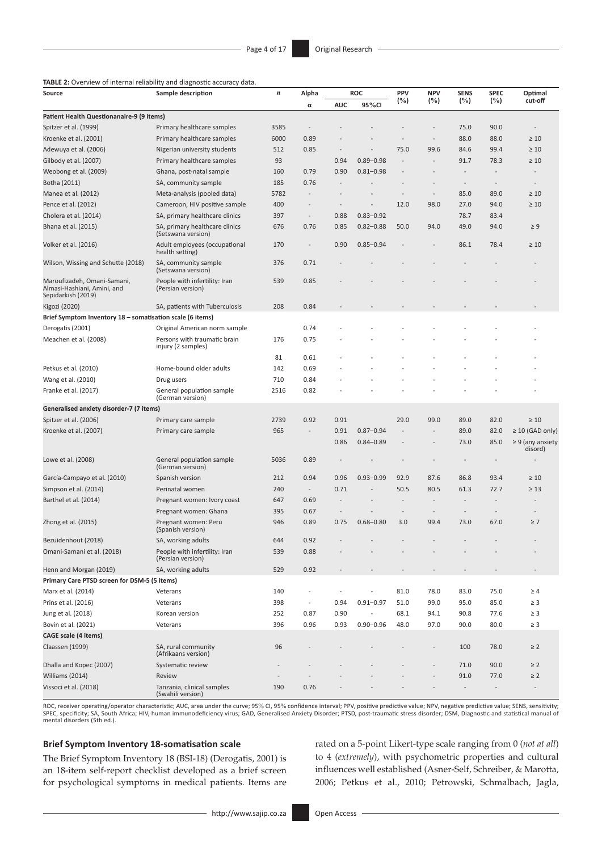### **TABLE 2:** Overview of internal reliability and diagnostic accuracy data.

| Source                                                                           | Sample description                                   | $\boldsymbol{n}$ | Alpha                    |                          | <b>ROC</b>    | PPV                      | <b>NPV</b>               | <b>SENS</b>              | <b>SPEC</b>              | Optimal                          |
|----------------------------------------------------------------------------------|------------------------------------------------------|------------------|--------------------------|--------------------------|---------------|--------------------------|--------------------------|--------------------------|--------------------------|----------------------------------|
|                                                                                  |                                                      |                  | α                        | <b>AUC</b>               | 95%CI         | (%)                      | (%)                      | (%)                      | (%)                      | cut-off                          |
| Patient Health Questionanaire-9 (9 items)                                        |                                                      |                  |                          |                          |               |                          |                          |                          |                          |                                  |
| Spitzer et al. (1999)                                                            | Primary healthcare samples                           | 3585             | $\overline{a}$           |                          |               |                          | L,                       | 75.0                     | 90.0                     | $\overline{\phantom{a}}$         |
| Kroenke et al. (2001)                                                            | Primary healthcare samples                           | 6000             | 0.89                     |                          |               |                          | $\overline{\phantom{m}}$ | 88.0                     | 88.0                     | $\geq 10$                        |
| Adewuya et al. (2006)                                                            | Nigerian university students                         | 512              | 0.85                     |                          |               | 75.0                     | 99.6                     | 84.6                     | 99.4                     | $\geq 10$                        |
| Gilbody et al. (2007)                                                            | Primary healthcare samples                           | 93               |                          | 0.94                     | $0.89 - 0.98$ | $\overline{a}$           | $\overline{a}$           | 91.7                     | 78.3                     | $\geq 10$                        |
| Weobong et al. (2009)                                                            | Ghana, post-natal sample                             | 160              | 0.79                     | 0.90                     | $0.81 - 0.98$ | $\overline{a}$           | $\overline{a}$           | $\overline{\phantom{m}}$ |                          |                                  |
| Botha (2011)                                                                     | SA, community sample                                 | 185              | 0.76                     |                          |               |                          |                          | $\overline{\phantom{m}}$ |                          |                                  |
| Manea et al. (2012)                                                              | Meta-analysis (pooled data)                          | 5782             | $\overline{\phantom{a}}$ | $\overline{a}$           |               | $\overline{\phantom{a}}$ | $\overline{\phantom{a}}$ | 85.0                     | 89.0                     | $\geq 10$                        |
| Pence et al. (2012)                                                              | Cameroon, HIV positive sample                        | 400              | $\overline{a}$           | $\overline{a}$           |               | 12.0                     | 98.0                     | 27.0                     | 94.0                     | $\geq 10$                        |
| Cholera et al. (2014)                                                            | SA, primary healthcare clinics                       | 397              | $\overline{\phantom{m}}$ | 0.88                     | $0.83 - 0.92$ |                          |                          | 78.7                     | 83.4                     |                                  |
| Bhana et al. (2015)                                                              | SA, primary healthcare clinics<br>(Setswana version) | 676              | 0.76                     | 0.85                     | $0.82 - 0.88$ | 50.0                     | 94.0                     | 49.0                     | 94.0                     | $\geq 9$                         |
| Volker et al. (2016)                                                             | Adult employees (occupational<br>health setting)     | 170              | $\overline{\phantom{a}}$ | 0.90                     | $0.85 - 0.94$ |                          |                          | 86.1                     | 78.4                     | $\geq 10$                        |
| Wilson, Wissing and Schutte (2018)                                               | SA, community sample<br>(Setswana version)           | 376              | 0.71                     |                          |               |                          |                          |                          |                          |                                  |
| Maroufizadeh, Omani-Samani,<br>Almasi-Hashiani, Amini, and<br>Sepidarkish (2019) | People with infertility: Iran<br>(Persian version)   | 539              | 0.85                     |                          |               |                          |                          |                          |                          |                                  |
| Kigozi (2020)                                                                    | SA, patients with Tuberculosis                       | 208              | 0.84                     |                          |               |                          |                          |                          |                          |                                  |
| Brief Symptom Inventory 18 – somatisation scale (6 items)                        |                                                      |                  |                          |                          |               |                          |                          |                          |                          |                                  |
| Derogatis (2001)                                                                 | Original American norm sample                        |                  | 0.74                     |                          |               |                          |                          |                          |                          |                                  |
| Meachen et al. (2008)                                                            | Persons with traumatic brain<br>injury (2 samples)   | 176              | 0.75                     |                          |               |                          |                          |                          |                          |                                  |
|                                                                                  |                                                      | 81               | 0.61                     |                          |               |                          |                          |                          |                          |                                  |
| Petkus et al. (2010)                                                             | Home-bound older adults                              | 142              | 0.69                     |                          |               |                          |                          |                          |                          |                                  |
| Wang et al. (2010)                                                               | Drug users                                           | 710              | 0.84                     |                          |               |                          |                          |                          |                          |                                  |
| Franke et al. (2017)                                                             | General population sample<br>(German version)        | 2516             | 0.82                     |                          |               |                          |                          |                          |                          |                                  |
| Generalised anxiety disorder-7 (7 items)                                         |                                                      |                  |                          |                          |               |                          |                          |                          |                          |                                  |
| Spitzer et al. (2006)                                                            | Primary care sample                                  | 2739             | 0.92                     | 0.91                     |               | 29.0                     | 99.0                     | 89.0                     | 82.0                     | $\geq 10$                        |
| Kroenke et al. (2007)                                                            | Primary care sample                                  | 965              | $\overline{\phantom{a}}$ | 0.91                     | $0.87 - 0.94$ | L,                       | $\overline{a}$           | 89.0                     | 82.0                     | $\geq$ 10 (GAD only)             |
|                                                                                  |                                                      |                  |                          | 0.86                     | $0.84 - 0.89$ |                          | $\overline{a}$           | 73.0                     | 85.0                     | $\geq 9$ (any anxiety<br>disord) |
| Lowe et al. (2008)                                                               | General population sample<br>(German version)        | 5036             | 0.89                     |                          |               |                          |                          |                          | $\overline{\phantom{a}}$ |                                  |
| García-Campayo et al. (2010)                                                     | Spanish version                                      | 212              | 0.94                     | 0.96                     | $0.93 - 0.99$ | 92.9                     | 87.6                     | 86.8                     | 93.4                     | $\geq 10$                        |
| Simpson et al. (2014)                                                            | Perinatal women                                      | 240              | $\overline{\phantom{a}}$ | 0.71                     |               | 50.5                     | 80.5                     | 61.3                     | 72.7                     | $\geq 13$                        |
| Barthel et al. (2014)                                                            | Pregnant women: Ivory coast                          | 647              | 0.69                     | $\overline{a}$           |               | $\overline{a}$           | $\overline{a}$           | $\overline{a}$           | $\overline{a}$           |                                  |
|                                                                                  | Pregnant women: Ghana                                | 395              | 0.67                     | $\overline{\phantom{m}}$ |               |                          | $\overline{a}$           | $\overline{\phantom{m}}$ |                          |                                  |
| Zhong et al. (2015)                                                              | Pregnant women: Peru<br>(Spanish version)            | 946              | 0.89                     | 0.75                     | $0.68 - 0.80$ | 3.0                      | 99.4                     | 73.0                     | 67.0                     | $\geq 7$                         |
| Bezuidenhout (2018)                                                              | SA, working adults                                   | 644              | 0.92                     | $\overline{\phantom{a}}$ |               |                          |                          |                          |                          |                                  |
| Omani-Samani et al. (2018)                                                       | People with infertility: Iran<br>(Persian version)   | 539              | 0.88                     |                          |               |                          |                          |                          |                          |                                  |
| Henn and Morgan (2019)                                                           | SA, working adults                                   | 529              | 0.92                     |                          |               |                          |                          |                          |                          |                                  |
| Primary Care PTSD screen for DSM-5 (5 items)                                     |                                                      |                  |                          |                          |               |                          |                          |                          |                          |                                  |
| Marx et al. (2014)                                                               | Veterans                                             | 140              | $\overline{a}$           |                          |               | 81.0                     | 78.0                     | 83.0                     | 75.0                     | $\geq 4$                         |
| Prins et al. (2016)                                                              | Veterans                                             | 398              | $\overline{\phantom{a}}$ | 0.94                     | $0.91 - 0.97$ | 51.0                     | 99.0                     | 95.0                     | 85.0                     | $\geq$ 3                         |
| Jung et al. (2018)                                                               | Korean version                                       | 252              | 0.87                     | 0.90                     |               | 68.1                     | 94.1                     | 90.8                     | 77.6                     | $\geq$ 3                         |
| Bovin et al. (2021)                                                              | Veterans                                             | 396              | 0.96                     | 0.93                     | $0.90 - 0.96$ | 48.0                     | 97.0                     | 90.0                     | 80.0                     | $\geq$ 3                         |
| <b>CAGE scale (4 items)</b>                                                      |                                                      |                  |                          |                          |               |                          |                          |                          |                          |                                  |
| Claassen (1999)                                                                  | SA, rural community<br>(Afrikaans version)           | 96               |                          |                          |               |                          |                          | 100                      | 78.0                     | $\geq$ 2                         |
| Dhalla and Kopec (2007)                                                          | Systematic review                                    |                  |                          |                          |               |                          |                          | 71.0                     | 90.0                     | $\geq$ 2                         |
| Williams (2014)                                                                  | Review                                               |                  |                          |                          |               |                          |                          | 91.0                     | 77.0                     | $\geq$ 2                         |
| Vissoci et al. (2018)                                                            | Tanzania, clinical samples<br>(Swahili version)      | 190              | 0.76                     |                          |               |                          |                          |                          |                          |                                  |

ROC, receiver operating/operator characteristic; AUC, area under the curve; 95% CI, 95% confidence interval; PPV, positive predictive value; NPV, negative predictive value; SENS, sensitivity;<br>SPEC, specificity; SA, South A mental disorders (5th ed.).

### **Brief Symptom Inventory 18-somatisation scale**

The Brief Symptom Inventory 18 (BSI-18) (Derogatis, 2001) is an 18-item self-report checklist developed as a brief screen for psychological symptoms in medical patients. Items are rated on a 5-point Likert-type scale ranging from 0 (*not at all*) to 4 (*extremely*), with psychometric properties and cultural influences well established (Asner-Self, Schreiber, & Marotta, 2006; Petkus et al., 2010; Petrowski, Schmalbach, Jagla,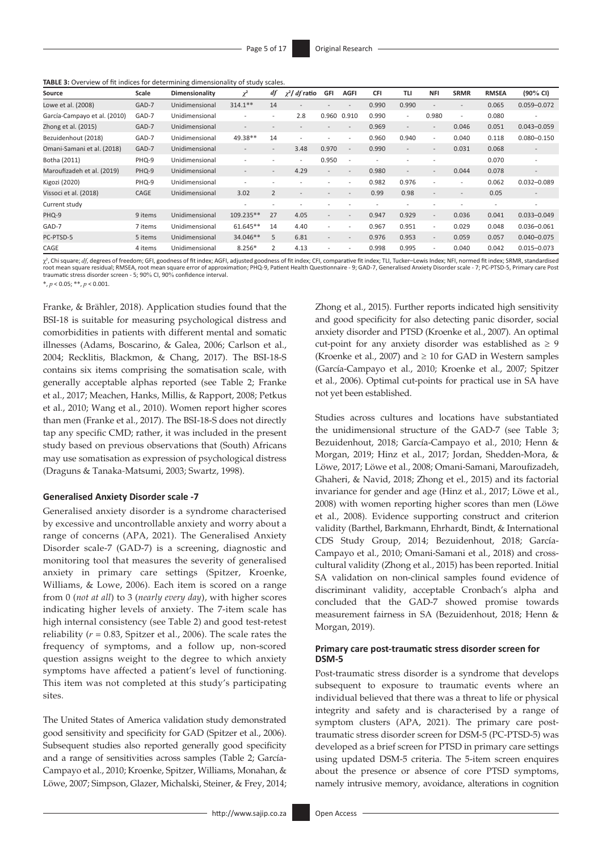| TABLE 3: Overview of fit indices for determining dimensionality of study scales. |  |
|----------------------------------------------------------------------------------|--|
|----------------------------------------------------------------------------------|--|

| Source                       | Scale   | Dimensionality | $\chi^2$                 | df                       | $\chi^2$ df ratio        | GFI                      | <b>AGFI</b>              | <b>CFI</b>               | TLI                      | <b>NFI</b>               | <b>SRMR</b>              | <b>RMSEA</b>             | $(90\% \text{ Cl})$      |
|------------------------------|---------|----------------|--------------------------|--------------------------|--------------------------|--------------------------|--------------------------|--------------------------|--------------------------|--------------------------|--------------------------|--------------------------|--------------------------|
| Lowe et al. (2008)           | GAD-7   | Unidimensional | $314.1**$                | 14                       | $\overline{\phantom{0}}$ |                          | $\overline{\phantom{a}}$ | 0.990                    | 0.990                    | $\overline{\phantom{a}}$ | $\overline{a}$           | 0.065                    | $0.059 - 0.072$          |
| García-Campayo et al. (2010) | GAD-7   | Unidimensional | ٠                        | ٠                        | 2.8                      | 0.960                    | 0.910                    | 0.990                    | $\overline{\phantom{0}}$ | 0.980                    | $\overline{\phantom{a}}$ | 0.080                    |                          |
| Zhong et al. (2015)          | GAD-7   | Unidimensional | $\overline{\phantom{a}}$ |                          | $\overline{\phantom{a}}$ | $\overline{\phantom{a}}$ | $\overline{\phantom{a}}$ | 0.969                    | $\overline{\phantom{a}}$ | $\overline{\phantom{a}}$ | 0.046                    | 0.051                    | $0.043 - 0.059$          |
| Bezuidenhout (2018)          | GAD-7   | Unidimensional | 49.38**                  | 14                       | $\overline{\phantom{a}}$ | $\overline{\phantom{a}}$ | $\overline{\phantom{a}}$ | 0.960                    | 0.940                    | $\overline{\phantom{a}}$ | 0.040                    | 0.118                    | $0.080 - 0.150$          |
| Omani-Samani et al. (2018)   | GAD-7   | Unidimensional | $\overline{\phantom{a}}$ | $\overline{a}$           | 3.48                     | 0.970                    | $\overline{\phantom{a}}$ | 0.990                    | $\overline{a}$           | $\overline{\phantom{a}}$ | 0.031                    | 0.068                    | $\overline{\phantom{a}}$ |
| Botha (2011)                 | PHQ-9   | Unidimensional | $\overline{\phantom{a}}$ | ٠                        | $\overline{\phantom{a}}$ | 0.950                    | $\overline{\phantom{a}}$ | $\overline{\phantom{a}}$ |                          |                          |                          | 0.070                    | $\overline{\phantom{a}}$ |
| Maroufizadeh et al. (2019)   | PHQ-9   | Unidimensional | $\overline{\phantom{a}}$ | ٠.                       | 4.29                     | $\overline{\phantom{a}}$ | $\overline{\phantom{a}}$ | 0.980                    | $\overline{\phantom{0}}$ | $\overline{\phantom{a}}$ | 0.044                    | 0.078                    | $\overline{\phantom{a}}$ |
| Kigozi (2020)                | PHQ-9   | Unidimensional | $\overline{\phantom{a}}$ | $\overline{\phantom{a}}$ |                          | $\overline{\phantom{a}}$ | $\overline{\phantom{a}}$ | 0.982                    | 0.976                    | $\overline{\phantom{a}}$ | $\overline{a}$           | 0.062                    | $0.032 - 0.089$          |
| Vissoci et al. (2018)        | CAGE    | Unidimensional | 3.02                     | $\overline{2}$           | $\overline{\phantom{a}}$ | $\overline{a}$           | $\overline{\phantom{a}}$ | 0.99                     | 0.98                     | $\overline{\phantom{a}}$ |                          | 0.05                     |                          |
| Current study                |         |                | ٠                        | ٠                        | $\overline{\phantom{a}}$ |                          |                          | $\overline{\phantom{a}}$ |                          |                          |                          | $\overline{\phantom{0}}$ | $\overline{\phantom{a}}$ |
| PHQ-9                        | 9 items | Unidimensional | 109.235**                | 27                       | 4.05                     | $\overline{\phantom{a}}$ | $\overline{\phantom{a}}$ | 0.947                    | 0.929                    | $\overline{\phantom{a}}$ | 0.036                    | 0.041                    | $0.033 - 0.049$          |
| GAD-7                        | 7 items | Unidimensional | 61.645**                 | 14                       | 4.40                     | $\overline{\phantom{a}}$ | $\overline{\phantom{a}}$ | 0.967                    | 0.951                    | $\overline{\phantom{a}}$ | 0.029                    | 0.048                    | $0.036 - 0.061$          |
| PC-PTSD-5                    | 5 items | Unidimensional | 34.046**                 | 5                        | 6.81                     | $\overline{\phantom{a}}$ | $\overline{\phantom{a}}$ | 0.976                    | 0.953                    | $\overline{\phantom{a}}$ | 0.059                    | 0.057                    | $0.040 - 0.075$          |
| CAGE                         | 4 items | Unidimensional | $8.256*$                 | $\overline{2}$           | 4.13                     |                          |                          | 0.998                    | 0.995                    | $\overline{\phantom{a}}$ | 0.040                    | 0.042                    | $0.015 - 0.073$          |

χ<sup>2</sup>, Chi square; *df,* degrees of freedom; GFI, goodness of fit index; AGFI, adjusted goodness of fit index; CFI, comparative fit index; TLI, Tucker–Lewis Index; NFI, normed fit index; SRMR, standardised root mean square residual; RMSEA, root mean square error of approximation; PHQ-9, Patient Health Questionnaire - 9; GAD-7, Generalised Anxiety Disorder scale - 7; PC-PTSD-5, Primary care Post traumatic stress disorder screen - 5; 90% CI, 90% confidence interval.

\*, *p* < 0.05; \*\*, *p* < 0.001.

Franke, & Brähler, 2018). Application studies found that the BSI-18 is suitable for measuring psychological distress and comorbidities in patients with different mental and somatic illnesses (Adams, Boscarino, & Galea, 2006; Carlson et al., 2004; Recklitis, Blackmon, & Chang, 2017). The BSI-18-S contains six items comprising the somatisation scale, with generally acceptable alphas reported (see Table 2; Franke et al., 2017; Meachen, Hanks, Millis, & Rapport, 2008; Petkus et al., 2010; Wang et al., 2010). Women report higher scores than men (Franke et al., 2017). The BSI-18-S does not directly tap any specific CMD; rather, it was included in the present study based on previous observations that (South) Africans may use somatisation as expression of psychological distress (Draguns & Tanaka*-*Matsumi, 2003; Swartz, 1998).

### **Generalised Anxiety Disorder scale -7**

Generalised anxiety disorder is a syndrome characterised by excessive and uncontrollable anxiety and worry about a range of concerns (APA, 2021). The Generalised Anxiety Disorder scale-7 (GAD-7) is a screening, diagnostic and monitoring tool that measures the severity of generalised anxiety in primary care settings (Spitzer, Kroenke, Williams, & Lowe, 2006). Each item is scored on a range from 0 (*not at all*) to 3 (*nearly every day*), with higher scores indicating higher levels of anxiety. The 7-item scale has high internal consistency (see Table 2) and good test-retest reliability (*r* = 0.83, Spitzer et al., 2006). The scale rates the frequency of symptoms, and a follow up, non-scored question assigns weight to the degree to which anxiety symptoms have affected a patient's level of functioning. This item was not completed at this study's participating sites.

The United States of America validation study demonstrated good sensitivity and specificity for GAD (Spitzer et al., 2006). Subsequent studies also reported generally good specificity and a range of sensitivities across samples (Table 2; García-Campayo et al., 2010; Kroenke, Spitzer, Williams, Monahan, & Löwe, 2007; Simpson, Glazer, Michalski, Steiner, & Frey, 2014;

Zhong et al., 2015). Further reports indicated high sensitivity and good specificity for also detecting panic disorder, social anxiety disorder and PTSD (Kroenke et al., 2007). An optimal cut-point for any anxiety disorder was established as  $\geq 9$ (Kroenke et al., 2007) and  $\geq 10$  for GAD in Western samples (García-Campayo et al., 2010; Kroenke et al., 2007; Spitzer et al., 2006). Optimal cut-points for practical use in SA have not yet been established.

Studies across cultures and locations have substantiated the unidimensional structure of the GAD-7 (see Table 3; Bezuidenhout, 2018; García-Campayo et al., 2010; Henn & Morgan, 2019; Hinz et al., 2017; Jordan, Shedden-Mora, & Löwe, 2017; Löwe et al., 2008; Omani-Samani, Maroufizadeh, Ghaheri, & Navid, 2018; Zhong et el., 2015) and its factorial invariance for gender and age (Hinz et al., 2017; Löwe et al., 2008) with women reporting higher scores than men (Löwe et al., 2008). Evidence supporting construct and criterion validity (Barthel, Barkmann, Ehrhardt, Bindt, & International CDS Study Group, 2014; Bezuidenhout, 2018; García-Campayo et al., 2010; Omani-Samani et al., 2018) and crosscultural validity (Zhong et al., 2015) has been reported. Initial SA validation on non-clinical samples found evidence of discriminant validity, acceptable Cronbach's alpha and concluded that the GAD-7 showed promise towards measurement fairness in SA (Bezuidenhout, 2018; Henn & Morgan, 2019).

### **Primary care post-traumatic stress disorder screen for DSM-5**

Post-traumatic stress disorder is a syndrome that develops subsequent to exposure to traumatic events where an individual believed that there was a threat to life or physical integrity and safety and is characterised by a range of symptom clusters (APA, 2021). The primary care posttraumatic stress disorder screen for DSM-5 (PC-PTSD-5) was developed as a brief screen for PTSD in primary care settings using updated DSM-5 criteria. The 5-item screen enquires about the presence or absence of core PTSD symptoms, namely intrusive memory, avoidance, alterations in cognition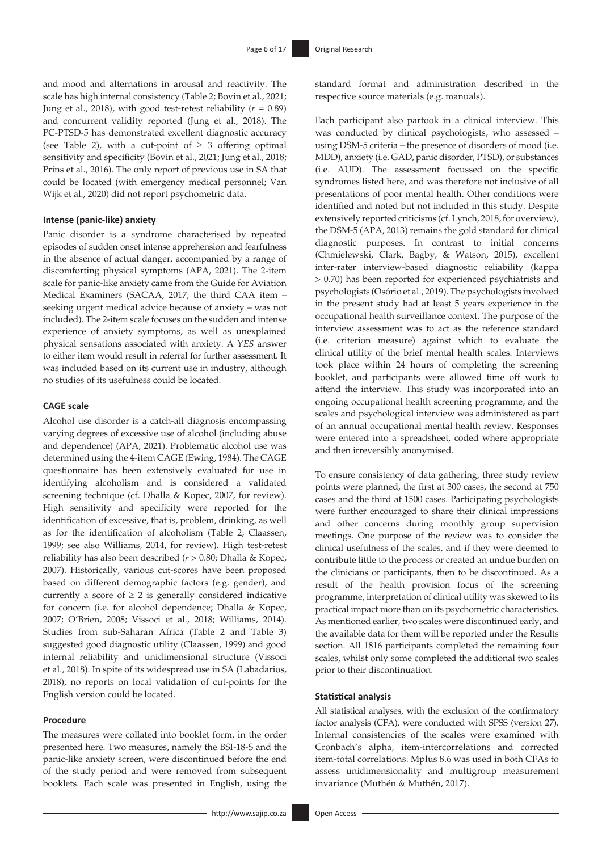and mood and alternations in arousal and reactivity. The scale has high internal consistency (Table 2; Bovin et al., 2021; Jung et al., 2018), with good test-retest reliability  $(r = 0.89)$ and concurrent validity reported (Jung et al., 2018). The PC-PTSD-5 has demonstrated excellent diagnostic accuracy (see Table 2), with a cut-point of  $\geq$  3 offering optimal sensitivity and specificity (Bovin et al., 2021; Jung et al., 2018; Prins et al., 2016). The only report of previous use in SA that could be located (with emergency medical personnel; Van Wijk et al., 2020) did not report psychometric data.

### **Intense (panic-like) anxiety**

Panic disorder is a syndrome characterised by repeated episodes of sudden onset intense apprehension and fearfulness in the absence of actual danger, accompanied by a range of discomforting physical symptoms (APA, 2021). The 2-item scale for panic-like anxiety came from the Guide for Aviation Medical Examiners (SACAA, 2017; the third CAA item – seeking urgent medical advice because of anxiety – was not included). The 2-item scale focuses on the sudden and intense experience of anxiety symptoms, as well as unexplained physical sensations associated with anxiety. A *YES* answer to either item would result in referral for further assessment. It was included based on its current use in industry, although no studies of its usefulness could be located.

### **CAGE scale**

Alcohol use disorder is a catch-all diagnosis encompassing varying degrees of excessive use of alcohol (including abuse and dependence) (APA, 2021). Problematic alcohol use was determined using the 4-item CAGE (Ewing, 1984). The CAGE questionnaire has been extensively evaluated for use in identifying alcoholism and is considered a validated screening technique (cf. Dhalla & Kopec, 2007, for review). High sensitivity and specificity were reported for the identification of excessive, that is, problem, drinking, as well as for the identification of alcoholism (Table 2; Claassen, 1999; see also Williams, 2014, for review). High test-retest reliability has also been described (*r* > 0.80; Dhalla & Kopec, 2007). Historically, various cut-scores have been proposed based on different demographic factors (e.g. gender), and currently a score of  $\geq 2$  is generally considered indicative for concern (i.e. for alcohol dependence; Dhalla & Kopec, 2007; O'Brien, 2008; Vissoci et al., 2018; Williams, 2014). Studies from sub-Saharan Africa (Table 2 and Table 3) suggested good diagnostic utility (Claassen, 1999) and good internal reliability and unidimensional structure (Vissoci et al., 2018). In spite of its widespread use in SA (Labadarios, 2018), no reports on local validation of cut-points for the English version could be located.

### **Procedure**

The measures were collated into booklet form, in the order presented here. Two measures, namely the BSI-18-S and the panic-like anxiety screen, were discontinued before the end of the study period and were removed from subsequent booklets. Each scale was presented in English, using the

standard format and administration described in the respective source materials (e.g. manuals).

Each participant also partook in a clinical interview. This was conducted by clinical psychologists, who assessed – using DSM-5 criteria – the presence of disorders of mood (i.e. MDD), anxiety (i.e. GAD, panic disorder, PTSD), or substances (i.e. AUD). The assessment focussed on the specific syndromes listed here, and was therefore not inclusive of all presentations of poor mental health. Other conditions were identified and noted but not included in this study. Despite extensively reported criticisms (cf. Lynch, 2018, for overview), the DSM-5 (APA, 2013) remains the gold standard for clinical diagnostic purposes. In contrast to initial concerns (Chmielewski, Clark, Bagby, & Watson, 2015), excellent inter-rater interview-based diagnostic reliability (kappa > 0.70) has been reported for experienced psychiatrists and psychologists (Osório et al., 2019). The psychologists involved in the present study had at least 5 years experience in the occupational health surveillance context. The purpose of the interview assessment was to act as the reference standard (i.e. criterion measure) against which to evaluate the clinical utility of the brief mental health scales. Interviews took place within 24 hours of completing the screening booklet, and participants were allowed time off work to attend the interview. This study was incorporated into an ongoing occupational health screening programme, and the scales and psychological interview was administered as part of an annual occupational mental health review. Responses were entered into a spreadsheet, coded where appropriate and then irreversibly anonymised.

To ensure consistency of data gathering, three study review points were planned, the first at 300 cases, the second at 750 cases and the third at 1500 cases. Participating psychologists were further encouraged to share their clinical impressions and other concerns during monthly group supervision meetings. One purpose of the review was to consider the clinical usefulness of the scales, and if they were deemed to contribute little to the process or created an undue burden on the clinicians or participants, then to be discontinued. As a result of the health provision focus of the screening programme, interpretation of clinical utility was skewed to its practical impact more than on its psychometric characteristics. As mentioned earlier, two scales were discontinued early, and the available data for them will be reported under the Results section. All 1816 participants completed the remaining four scales, whilst only some completed the additional two scales prior to their discontinuation.

### **Statistical analysis**

All statistical analyses, with the exclusion of the confirmatory factor analysis (CFA), were conducted with SPSS (version 27). Internal consistencies of the scales were examined with Cronbach's alpha, item-intercorrelations and corrected item-total correlations. Mplus 8.6 was used in both CFAs to assess unidimensionality and multigroup measurement invariance (Muthén & Muthén, 2017).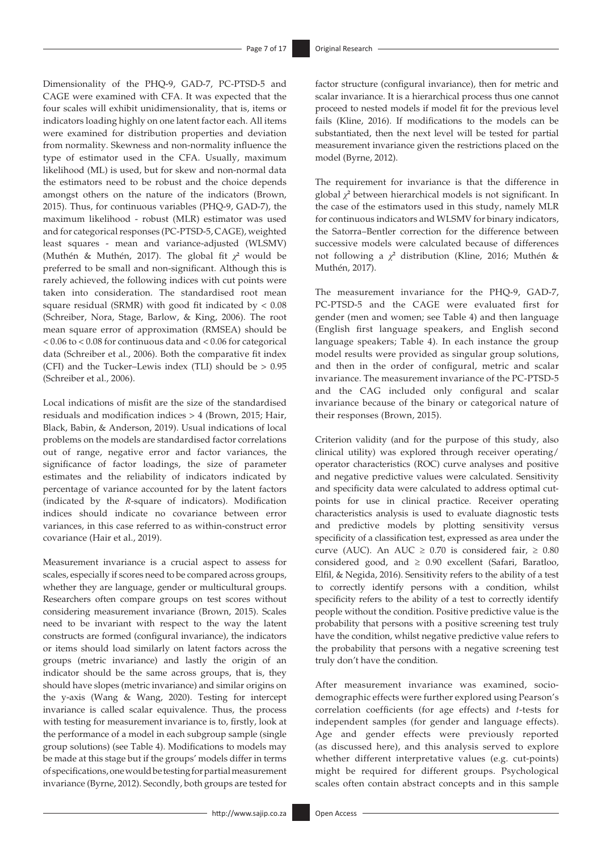Dimensionality of the PHQ-9, GAD-7, PC-PTSD-5 and CAGE were examined with CFA. It was expected that the four scales will exhibit unidimensionality, that is, items or indicators loading highly on one latent factor each. All items were examined for distribution properties and deviation from normality. Skewness and non-normality influence the type of estimator used in the CFA. Usually, maximum likelihood (ML) is used, but for skew and non-normal data the estimators need to be robust and the choice depends amongst others on the nature of the indicators (Brown, 2015). Thus, for continuous variables (PHQ-9, GAD-7), the maximum likelihood - robust (MLR) estimator was used and for categorical responses (PC-PTSD-5, CAGE), weighted least squares - mean and variance-adjusted (WLSMV) (Muthén & Muthén, 2017). The global fit *χ***<sup>2</sup>** would be preferred to be small and non-significant. Although this is rarely achieved, the following indices with cut points were taken into consideration. The standardised root mean square residual (SRMR) with good fit indicated by  $< 0.08$ (Schreiber, Nora, Stage, Barlow, & King, 2006). The root mean square error of approximation (RMSEA) should be < 0.06 to < 0.08 for continuous data and < 0.06 for categorical data (Schreiber et al., 2006). Both the comparative fit index (CFI) and the Tucker–Lewis index (TLI) should be > 0.95 (Schreiber et al., 2006).

Local indications of misfit are the size of the standardised residuals and modification indices > 4 (Brown, 2015; Hair, Black, Babin, & Anderson, 2019). Usual indications of local problems on the models are standardised factor correlations out of range, negative error and factor variances, the significance of factor loadings, the size of parameter estimates and the reliability of indicators indicated by percentage of variance accounted for by the latent factors (indicated by the *R*-square of indicators). Modification indices should indicate no covariance between error variances, in this case referred to as within-construct error covariance (Hair et al., 2019).

Measurement invariance is a crucial aspect to assess for scales, especially if scores need to be compared across groups, whether they are language, gender or multicultural groups. Researchers often compare groups on test scores without considering measurement invariance (Brown, 2015). Scales need to be invariant with respect to the way the latent constructs are formed (configural invariance), the indicators or items should load similarly on latent factors across the groups (metric invariance) and lastly the origin of an indicator should be the same across groups, that is, they should have slopes (metric invariance) and similar origins on the y-axis (Wang & Wang, 2020). Testing for intercept invariance is called scalar equivalence. Thus, the process with testing for measurement invariance is to, firstly, look at the performance of a model in each subgroup sample (single group solutions) (see Table 4). Modifications to models may be made at this stage but if the groups' models differ in terms of specifications, one would be testing for partial measurement invariance (Byrne, 2012). Secondly, both groups are tested for

factor structure (configural invariance), then for metric and scalar invariance. It is a hierarchical process thus one cannot proceed to nested models if model fit for the previous level fails (Kline, 2016). If modifications to the models can be substantiated, then the next level will be tested for partial measurement invariance given the restrictions placed on the model (Byrne, 2012).

The requirement for invariance is that the difference in global *χ***<sup>2</sup>** between hierarchical models is not significant. In the case of the estimators used in this study, namely MLR for continuous indicators and WLSMV for binary indicators, the Satorra–Bentler correction for the difference between successive models were calculated because of differences not following a *χ***<sup>2</sup>** distribution (Kline, 2016; Muthén & Muthén, 2017).

The measurement invariance for the PHQ-9, GAD-7, PC-PTSD-5 and the CAGE were evaluated first for gender (men and women; see Table 4) and then language (English first language speakers, and English second language speakers; Table 4). In each instance the group model results were provided as singular group solutions, and then in the order of configural, metric and scalar invariance. The measurement invariance of the PC-PTSD-5 and the CAG included only configural and scalar invariance because of the binary or categorical nature of their responses (Brown, 2015).

Criterion validity (and for the purpose of this study, also clinical utility) was explored through receiver operating/ operator characteristics (ROC) curve analyses and positive and negative predictive values were calculated. Sensitivity and specificity data were calculated to address optimal cutpoints for use in clinical practice. Receiver operating characteristics analysis is used to evaluate diagnostic tests and predictive models by plotting sensitivity versus specificity of a classification test, expressed as area under the curve (AUC). An AUC  $\geq$  0.70 is considered fair,  $\geq$  0.80 considered good, and  $\geq$  0.90 excellent (Safari, Baratloo, Elfil, & Negida, 2016). Sensitivity refers to the ability of a test to correctly identify persons with a condition, whilst specificity refers to the ability of a test to correctly identify people without the condition. Positive predictive value is the probability that persons with a positive screening test truly have the condition, whilst negative predictive value refers to the probability that persons with a negative screening test truly don't have the condition.

After measurement invariance was examined, sociodemographic effects were further explored using Pearson's correlation coefficients (for age effects) and *t*-tests for independent samples (for gender and language effects). Age and gender effects were previously reported (as discussed here), and this analysis served to explore whether different interpretative values (e.g. cut-points) might be required for different groups. Psychological scales often contain abstract concepts and in this sample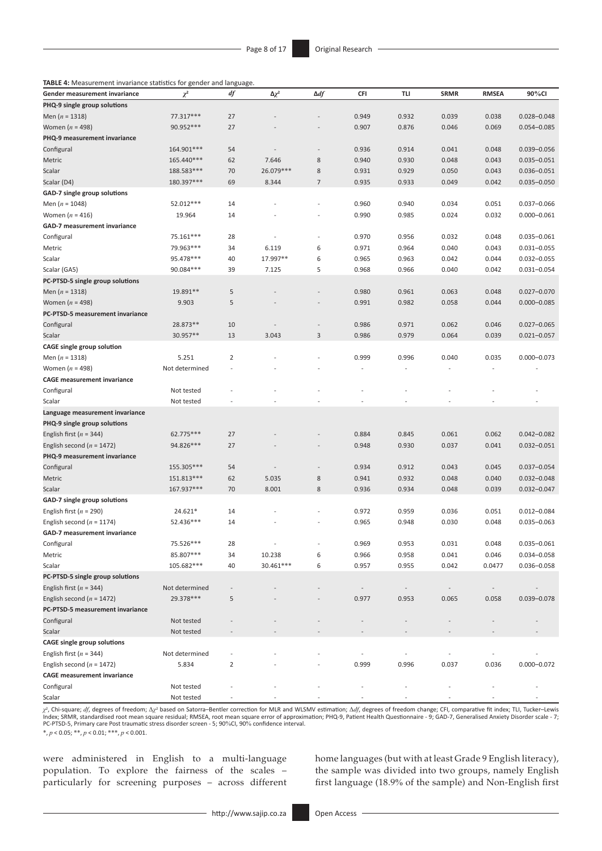**TABLE 4:** Measurement invariance statistics for gender and language.

| PHQ-9 single group solutions<br>27<br>Men ( $n = 1318$ )<br>77.317***<br>0.949<br>0.932<br>0.039<br>0.038<br>$0.028 - 0.048$<br>27<br>Women $(n = 498)$<br>90.952 ***<br>0.907<br>0.876<br>0.046<br>0.069<br>$0.054 - 0.085$<br>PHQ-9 measurement invariance<br>54<br>0.936<br>0.914<br>0.041<br>0.048<br>Configural<br>164.901***<br>$0.039 - 0.056$<br>$\overline{a}$<br>62<br>165.440***<br>7.646<br>8<br>0.940<br>0.930<br>0.048<br>0.043<br>$0.035 - 0.051$<br>Metric<br>70<br>26.079 ***<br>$\,$ 8 $\,$<br>188.583***<br>0.931<br>0.929<br>0.050<br>0.043<br>$0.036 - 0.051$<br>Scalar<br>69<br>$\overline{7}$<br>0.049<br>Scalar (D4)<br>180.397***<br>8.344<br>0.935<br>0.933<br>0.042<br>$0.035 - 0.050$<br>GAD-7 single group solutions<br>52.012***<br>14<br>0.960<br>0.940<br>0.034<br>0.051<br>$0.037 - 0.066$<br>Men ( $n = 1048$ )<br>$\overline{a}$<br>0.032<br>Women $(n = 416)$<br>19.964<br>14<br>0.990<br>0.985<br>0.024<br>$0.000 - 0.061$<br>GAD-7 measurement invariance<br>75.161***<br>28<br>0.970<br>0.956<br>0.032<br>0.048<br>$0.035 - 0.061$<br>Configural<br>٠<br>34<br>6.119<br>0.971<br>0.964<br>0.040<br>0.043<br>79.963***<br>6<br>$0.031 - 0.055$<br>Metric<br>6<br>95.478***<br>40<br>17.997**<br>0.965<br>0.042<br>0.044<br>Scalar<br>0.963<br>$0.032 - 0.055$<br>7.125<br>5<br>90.084***<br>39<br>0.968<br>0.966<br>0.040<br>0.042<br>$0.031 - 0.054$<br>Scalar (GA5)<br>PC-PTSD-5 single group solutions<br>5<br>0.980<br>19.891**<br>0.961<br>0.063<br>0.048<br>$0.027 - 0.070$<br>Men ( $n = 1318$ )<br>5<br>Women $(n = 498)$<br>9.903<br>0.991<br>0.982<br>0.058<br>0.044<br>$0.000 - 0.085$<br>PC-PTSD-5 measurement invariance<br>0.986<br>0.971<br>0.062<br>Configural<br>28.873**<br>10<br>0.046<br>$0.027 - 0.065$<br>$\overline{\phantom{m}}$<br>30.957**<br>13<br>3.043<br>3<br>0.986<br>0.979<br>0.064<br>0.039<br>$0.021 - 0.057$<br>Scalar<br><b>CAGE single group solution</b><br>$\overline{2}$<br>0.040<br>0.035<br>$0.000 - 0.073$<br>Men $(n = 1318)$<br>5.251<br>0.999<br>0.996<br>Women $(n = 498)$<br>Not determined<br>÷,<br>$\overline{a}$<br>$\overline{\phantom{a}}$<br><b>CAGE measurement invariance</b><br>Configural<br>Not tested<br>Not tested<br>Language measurement invariance<br>PHQ-9 single group solutions<br>62.775***<br>27<br>0.884<br>0.845<br>0.062<br>English first ( $n = 344$ )<br>0.061<br>$0.042 - 0.082$<br>27<br>0.037<br>0.041<br>English second ( $n = 1472$ )<br>94.826 ***<br>0.948<br>0.930<br>$0.032 - 0.051$<br>PHQ-9 measurement invariance<br>0.934<br>0.912<br>0.043<br>155.305***<br>54<br>0.045<br>$0.037 - 0.054$<br>$\overline{a}$<br>151.813***<br>62<br>5.035<br>8<br>0.941<br>0.932<br>0.048<br>0.040<br>$0.032 - 0.048$<br>8.001<br>8<br>0.039<br>167.937***<br>70<br>0.936<br>0.934<br>0.048<br>$0.032 - 0.047$<br>14<br>0.036<br>24.621*<br>0.972<br>0.959<br>0.051<br>$0.012 - 0.084$<br>٠<br>52.436***<br>0.048<br>English second ( $n = 1174$ )<br>14<br>0.965<br>0.948<br>0.030<br>$0.035 - 0.063$<br>GAD-7 measurement invariance<br>75.526***<br>0.969<br>0.031<br>0.048<br>$0.035 - 0.061$<br>Configural<br>28<br>0.953<br>85.807***<br>10.238<br>0.966<br>0.958<br>0.041<br>0.046<br>0.034-0.058<br>Metric<br>34<br>6<br>30.461 ***<br>105.682***<br>40<br>6<br>0.957<br>0.955<br>0.042<br>0.0477<br>0.036-0.058<br>English first ( $n = 344$ )<br>Not determined<br>29.378***<br>5<br>0.977<br>0.953<br>0.065<br>0.058<br>0.039-0.078<br>PC-PTSD-5 measurement invariance<br>Not tested<br>Configural<br>Not tested<br><b>CAGE single group solutions</b><br>Not determined<br>English first ( $n = 344$ )<br>$\overline{2}$<br>0.999<br>0.996<br>0.036<br>$0.000 - 0.072$<br>English second ( $n = 1472$ )<br>5.834<br>0.037<br><b>CAGE</b> measurement invariance<br>Configural<br>Not tested | Gender measurement invariance    | $\chi^2$   | df | $\Delta \chi^2$ | $\Delta df$ | <b>CFI</b> | <b>TLI</b> | <b>SRMR</b> | <b>RMSEA</b> | 90%CI |
|------------------------------------------------------------------------------------------------------------------------------------------------------------------------------------------------------------------------------------------------------------------------------------------------------------------------------------------------------------------------------------------------------------------------------------------------------------------------------------------------------------------------------------------------------------------------------------------------------------------------------------------------------------------------------------------------------------------------------------------------------------------------------------------------------------------------------------------------------------------------------------------------------------------------------------------------------------------------------------------------------------------------------------------------------------------------------------------------------------------------------------------------------------------------------------------------------------------------------------------------------------------------------------------------------------------------------------------------------------------------------------------------------------------------------------------------------------------------------------------------------------------------------------------------------------------------------------------------------------------------------------------------------------------------------------------------------------------------------------------------------------------------------------------------------------------------------------------------------------------------------------------------------------------------------------------------------------------------------------------------------------------------------------------------------------------------------------------------------------------------------------------------------------------------------------------------------------------------------------------------------------------------------------------------------------------------------------------------------------------------------------------------------------------------------------------------------------------------------------------------------------------------------------------------------------------------------------------------------------------------------------------------------------------------------------------------------------------------------------------------------------------------------------------------------------------------------------------------------------------------------------------------------------------------------------------------------------------------------------------------------------------------------------------------------------------------------------------------------------------------------------------------------------------------------------------------------------------------------------------------------------------------------------------------------------------------------------------------------------------------------------------------------------------------------------------------------------------------------------------------------------------------------------------------------------------------------------------------------------------------------------------------------------------------------------------------------------------------------------------------------------------------------------------------------------------------|----------------------------------|------------|----|-----------------|-------------|------------|------------|-------------|--------------|-------|
|                                                                                                                                                                                                                                                                                                                                                                                                                                                                                                                                                                                                                                                                                                                                                                                                                                                                                                                                                                                                                                                                                                                                                                                                                                                                                                                                                                                                                                                                                                                                                                                                                                                                                                                                                                                                                                                                                                                                                                                                                                                                                                                                                                                                                                                                                                                                                                                                                                                                                                                                                                                                                                                                                                                                                                                                                                                                                                                                                                                                                                                                                                                                                                                                                                                                                                                                                                                                                                                                                                                                                                                                                                                                                                                                                                                                                        |                                  |            |    |                 |             |            |            |             |              |       |
|                                                                                                                                                                                                                                                                                                                                                                                                                                                                                                                                                                                                                                                                                                                                                                                                                                                                                                                                                                                                                                                                                                                                                                                                                                                                                                                                                                                                                                                                                                                                                                                                                                                                                                                                                                                                                                                                                                                                                                                                                                                                                                                                                                                                                                                                                                                                                                                                                                                                                                                                                                                                                                                                                                                                                                                                                                                                                                                                                                                                                                                                                                                                                                                                                                                                                                                                                                                                                                                                                                                                                                                                                                                                                                                                                                                                                        |                                  |            |    |                 |             |            |            |             |              |       |
|                                                                                                                                                                                                                                                                                                                                                                                                                                                                                                                                                                                                                                                                                                                                                                                                                                                                                                                                                                                                                                                                                                                                                                                                                                                                                                                                                                                                                                                                                                                                                                                                                                                                                                                                                                                                                                                                                                                                                                                                                                                                                                                                                                                                                                                                                                                                                                                                                                                                                                                                                                                                                                                                                                                                                                                                                                                                                                                                                                                                                                                                                                                                                                                                                                                                                                                                                                                                                                                                                                                                                                                                                                                                                                                                                                                                                        |                                  |            |    |                 |             |            |            |             |              |       |
|                                                                                                                                                                                                                                                                                                                                                                                                                                                                                                                                                                                                                                                                                                                                                                                                                                                                                                                                                                                                                                                                                                                                                                                                                                                                                                                                                                                                                                                                                                                                                                                                                                                                                                                                                                                                                                                                                                                                                                                                                                                                                                                                                                                                                                                                                                                                                                                                                                                                                                                                                                                                                                                                                                                                                                                                                                                                                                                                                                                                                                                                                                                                                                                                                                                                                                                                                                                                                                                                                                                                                                                                                                                                                                                                                                                                                        |                                  |            |    |                 |             |            |            |             |              |       |
|                                                                                                                                                                                                                                                                                                                                                                                                                                                                                                                                                                                                                                                                                                                                                                                                                                                                                                                                                                                                                                                                                                                                                                                                                                                                                                                                                                                                                                                                                                                                                                                                                                                                                                                                                                                                                                                                                                                                                                                                                                                                                                                                                                                                                                                                                                                                                                                                                                                                                                                                                                                                                                                                                                                                                                                                                                                                                                                                                                                                                                                                                                                                                                                                                                                                                                                                                                                                                                                                                                                                                                                                                                                                                                                                                                                                                        |                                  |            |    |                 |             |            |            |             |              |       |
|                                                                                                                                                                                                                                                                                                                                                                                                                                                                                                                                                                                                                                                                                                                                                                                                                                                                                                                                                                                                                                                                                                                                                                                                                                                                                                                                                                                                                                                                                                                                                                                                                                                                                                                                                                                                                                                                                                                                                                                                                                                                                                                                                                                                                                                                                                                                                                                                                                                                                                                                                                                                                                                                                                                                                                                                                                                                                                                                                                                                                                                                                                                                                                                                                                                                                                                                                                                                                                                                                                                                                                                                                                                                                                                                                                                                                        |                                  |            |    |                 |             |            |            |             |              |       |
|                                                                                                                                                                                                                                                                                                                                                                                                                                                                                                                                                                                                                                                                                                                                                                                                                                                                                                                                                                                                                                                                                                                                                                                                                                                                                                                                                                                                                                                                                                                                                                                                                                                                                                                                                                                                                                                                                                                                                                                                                                                                                                                                                                                                                                                                                                                                                                                                                                                                                                                                                                                                                                                                                                                                                                                                                                                                                                                                                                                                                                                                                                                                                                                                                                                                                                                                                                                                                                                                                                                                                                                                                                                                                                                                                                                                                        |                                  |            |    |                 |             |            |            |             |              |       |
|                                                                                                                                                                                                                                                                                                                                                                                                                                                                                                                                                                                                                                                                                                                                                                                                                                                                                                                                                                                                                                                                                                                                                                                                                                                                                                                                                                                                                                                                                                                                                                                                                                                                                                                                                                                                                                                                                                                                                                                                                                                                                                                                                                                                                                                                                                                                                                                                                                                                                                                                                                                                                                                                                                                                                                                                                                                                                                                                                                                                                                                                                                                                                                                                                                                                                                                                                                                                                                                                                                                                                                                                                                                                                                                                                                                                                        |                                  |            |    |                 |             |            |            |             |              |       |
|                                                                                                                                                                                                                                                                                                                                                                                                                                                                                                                                                                                                                                                                                                                                                                                                                                                                                                                                                                                                                                                                                                                                                                                                                                                                                                                                                                                                                                                                                                                                                                                                                                                                                                                                                                                                                                                                                                                                                                                                                                                                                                                                                                                                                                                                                                                                                                                                                                                                                                                                                                                                                                                                                                                                                                                                                                                                                                                                                                                                                                                                                                                                                                                                                                                                                                                                                                                                                                                                                                                                                                                                                                                                                                                                                                                                                        |                                  |            |    |                 |             |            |            |             |              |       |
|                                                                                                                                                                                                                                                                                                                                                                                                                                                                                                                                                                                                                                                                                                                                                                                                                                                                                                                                                                                                                                                                                                                                                                                                                                                                                                                                                                                                                                                                                                                                                                                                                                                                                                                                                                                                                                                                                                                                                                                                                                                                                                                                                                                                                                                                                                                                                                                                                                                                                                                                                                                                                                                                                                                                                                                                                                                                                                                                                                                                                                                                                                                                                                                                                                                                                                                                                                                                                                                                                                                                                                                                                                                                                                                                                                                                                        |                                  |            |    |                 |             |            |            |             |              |       |
|                                                                                                                                                                                                                                                                                                                                                                                                                                                                                                                                                                                                                                                                                                                                                                                                                                                                                                                                                                                                                                                                                                                                                                                                                                                                                                                                                                                                                                                                                                                                                                                                                                                                                                                                                                                                                                                                                                                                                                                                                                                                                                                                                                                                                                                                                                                                                                                                                                                                                                                                                                                                                                                                                                                                                                                                                                                                                                                                                                                                                                                                                                                                                                                                                                                                                                                                                                                                                                                                                                                                                                                                                                                                                                                                                                                                                        |                                  |            |    |                 |             |            |            |             |              |       |
|                                                                                                                                                                                                                                                                                                                                                                                                                                                                                                                                                                                                                                                                                                                                                                                                                                                                                                                                                                                                                                                                                                                                                                                                                                                                                                                                                                                                                                                                                                                                                                                                                                                                                                                                                                                                                                                                                                                                                                                                                                                                                                                                                                                                                                                                                                                                                                                                                                                                                                                                                                                                                                                                                                                                                                                                                                                                                                                                                                                                                                                                                                                                                                                                                                                                                                                                                                                                                                                                                                                                                                                                                                                                                                                                                                                                                        |                                  |            |    |                 |             |            |            |             |              |       |
|                                                                                                                                                                                                                                                                                                                                                                                                                                                                                                                                                                                                                                                                                                                                                                                                                                                                                                                                                                                                                                                                                                                                                                                                                                                                                                                                                                                                                                                                                                                                                                                                                                                                                                                                                                                                                                                                                                                                                                                                                                                                                                                                                                                                                                                                                                                                                                                                                                                                                                                                                                                                                                                                                                                                                                                                                                                                                                                                                                                                                                                                                                                                                                                                                                                                                                                                                                                                                                                                                                                                                                                                                                                                                                                                                                                                                        |                                  |            |    |                 |             |            |            |             |              |       |
|                                                                                                                                                                                                                                                                                                                                                                                                                                                                                                                                                                                                                                                                                                                                                                                                                                                                                                                                                                                                                                                                                                                                                                                                                                                                                                                                                                                                                                                                                                                                                                                                                                                                                                                                                                                                                                                                                                                                                                                                                                                                                                                                                                                                                                                                                                                                                                                                                                                                                                                                                                                                                                                                                                                                                                                                                                                                                                                                                                                                                                                                                                                                                                                                                                                                                                                                                                                                                                                                                                                                                                                                                                                                                                                                                                                                                        |                                  |            |    |                 |             |            |            |             |              |       |
|                                                                                                                                                                                                                                                                                                                                                                                                                                                                                                                                                                                                                                                                                                                                                                                                                                                                                                                                                                                                                                                                                                                                                                                                                                                                                                                                                                                                                                                                                                                                                                                                                                                                                                                                                                                                                                                                                                                                                                                                                                                                                                                                                                                                                                                                                                                                                                                                                                                                                                                                                                                                                                                                                                                                                                                                                                                                                                                                                                                                                                                                                                                                                                                                                                                                                                                                                                                                                                                                                                                                                                                                                                                                                                                                                                                                                        |                                  |            |    |                 |             |            |            |             |              |       |
|                                                                                                                                                                                                                                                                                                                                                                                                                                                                                                                                                                                                                                                                                                                                                                                                                                                                                                                                                                                                                                                                                                                                                                                                                                                                                                                                                                                                                                                                                                                                                                                                                                                                                                                                                                                                                                                                                                                                                                                                                                                                                                                                                                                                                                                                                                                                                                                                                                                                                                                                                                                                                                                                                                                                                                                                                                                                                                                                                                                                                                                                                                                                                                                                                                                                                                                                                                                                                                                                                                                                                                                                                                                                                                                                                                                                                        |                                  |            |    |                 |             |            |            |             |              |       |
|                                                                                                                                                                                                                                                                                                                                                                                                                                                                                                                                                                                                                                                                                                                                                                                                                                                                                                                                                                                                                                                                                                                                                                                                                                                                                                                                                                                                                                                                                                                                                                                                                                                                                                                                                                                                                                                                                                                                                                                                                                                                                                                                                                                                                                                                                                                                                                                                                                                                                                                                                                                                                                                                                                                                                                                                                                                                                                                                                                                                                                                                                                                                                                                                                                                                                                                                                                                                                                                                                                                                                                                                                                                                                                                                                                                                                        |                                  |            |    |                 |             |            |            |             |              |       |
|                                                                                                                                                                                                                                                                                                                                                                                                                                                                                                                                                                                                                                                                                                                                                                                                                                                                                                                                                                                                                                                                                                                                                                                                                                                                                                                                                                                                                                                                                                                                                                                                                                                                                                                                                                                                                                                                                                                                                                                                                                                                                                                                                                                                                                                                                                                                                                                                                                                                                                                                                                                                                                                                                                                                                                                                                                                                                                                                                                                                                                                                                                                                                                                                                                                                                                                                                                                                                                                                                                                                                                                                                                                                                                                                                                                                                        |                                  |            |    |                 |             |            |            |             |              |       |
|                                                                                                                                                                                                                                                                                                                                                                                                                                                                                                                                                                                                                                                                                                                                                                                                                                                                                                                                                                                                                                                                                                                                                                                                                                                                                                                                                                                                                                                                                                                                                                                                                                                                                                                                                                                                                                                                                                                                                                                                                                                                                                                                                                                                                                                                                                                                                                                                                                                                                                                                                                                                                                                                                                                                                                                                                                                                                                                                                                                                                                                                                                                                                                                                                                                                                                                                                                                                                                                                                                                                                                                                                                                                                                                                                                                                                        |                                  |            |    |                 |             |            |            |             |              |       |
|                                                                                                                                                                                                                                                                                                                                                                                                                                                                                                                                                                                                                                                                                                                                                                                                                                                                                                                                                                                                                                                                                                                                                                                                                                                                                                                                                                                                                                                                                                                                                                                                                                                                                                                                                                                                                                                                                                                                                                                                                                                                                                                                                                                                                                                                                                                                                                                                                                                                                                                                                                                                                                                                                                                                                                                                                                                                                                                                                                                                                                                                                                                                                                                                                                                                                                                                                                                                                                                                                                                                                                                                                                                                                                                                                                                                                        |                                  |            |    |                 |             |            |            |             |              |       |
|                                                                                                                                                                                                                                                                                                                                                                                                                                                                                                                                                                                                                                                                                                                                                                                                                                                                                                                                                                                                                                                                                                                                                                                                                                                                                                                                                                                                                                                                                                                                                                                                                                                                                                                                                                                                                                                                                                                                                                                                                                                                                                                                                                                                                                                                                                                                                                                                                                                                                                                                                                                                                                                                                                                                                                                                                                                                                                                                                                                                                                                                                                                                                                                                                                                                                                                                                                                                                                                                                                                                                                                                                                                                                                                                                                                                                        |                                  |            |    |                 |             |            |            |             |              |       |
|                                                                                                                                                                                                                                                                                                                                                                                                                                                                                                                                                                                                                                                                                                                                                                                                                                                                                                                                                                                                                                                                                                                                                                                                                                                                                                                                                                                                                                                                                                                                                                                                                                                                                                                                                                                                                                                                                                                                                                                                                                                                                                                                                                                                                                                                                                                                                                                                                                                                                                                                                                                                                                                                                                                                                                                                                                                                                                                                                                                                                                                                                                                                                                                                                                                                                                                                                                                                                                                                                                                                                                                                                                                                                                                                                                                                                        |                                  |            |    |                 |             |            |            |             |              |       |
|                                                                                                                                                                                                                                                                                                                                                                                                                                                                                                                                                                                                                                                                                                                                                                                                                                                                                                                                                                                                                                                                                                                                                                                                                                                                                                                                                                                                                                                                                                                                                                                                                                                                                                                                                                                                                                                                                                                                                                                                                                                                                                                                                                                                                                                                                                                                                                                                                                                                                                                                                                                                                                                                                                                                                                                                                                                                                                                                                                                                                                                                                                                                                                                                                                                                                                                                                                                                                                                                                                                                                                                                                                                                                                                                                                                                                        |                                  |            |    |                 |             |            |            |             |              |       |
|                                                                                                                                                                                                                                                                                                                                                                                                                                                                                                                                                                                                                                                                                                                                                                                                                                                                                                                                                                                                                                                                                                                                                                                                                                                                                                                                                                                                                                                                                                                                                                                                                                                                                                                                                                                                                                                                                                                                                                                                                                                                                                                                                                                                                                                                                                                                                                                                                                                                                                                                                                                                                                                                                                                                                                                                                                                                                                                                                                                                                                                                                                                                                                                                                                                                                                                                                                                                                                                                                                                                                                                                                                                                                                                                                                                                                        |                                  |            |    |                 |             |            |            |             |              |       |
|                                                                                                                                                                                                                                                                                                                                                                                                                                                                                                                                                                                                                                                                                                                                                                                                                                                                                                                                                                                                                                                                                                                                                                                                                                                                                                                                                                                                                                                                                                                                                                                                                                                                                                                                                                                                                                                                                                                                                                                                                                                                                                                                                                                                                                                                                                                                                                                                                                                                                                                                                                                                                                                                                                                                                                                                                                                                                                                                                                                                                                                                                                                                                                                                                                                                                                                                                                                                                                                                                                                                                                                                                                                                                                                                                                                                                        |                                  |            |    |                 |             |            |            |             |              |       |
|                                                                                                                                                                                                                                                                                                                                                                                                                                                                                                                                                                                                                                                                                                                                                                                                                                                                                                                                                                                                                                                                                                                                                                                                                                                                                                                                                                                                                                                                                                                                                                                                                                                                                                                                                                                                                                                                                                                                                                                                                                                                                                                                                                                                                                                                                                                                                                                                                                                                                                                                                                                                                                                                                                                                                                                                                                                                                                                                                                                                                                                                                                                                                                                                                                                                                                                                                                                                                                                                                                                                                                                                                                                                                                                                                                                                                        |                                  |            |    |                 |             |            |            |             |              |       |
|                                                                                                                                                                                                                                                                                                                                                                                                                                                                                                                                                                                                                                                                                                                                                                                                                                                                                                                                                                                                                                                                                                                                                                                                                                                                                                                                                                                                                                                                                                                                                                                                                                                                                                                                                                                                                                                                                                                                                                                                                                                                                                                                                                                                                                                                                                                                                                                                                                                                                                                                                                                                                                                                                                                                                                                                                                                                                                                                                                                                                                                                                                                                                                                                                                                                                                                                                                                                                                                                                                                                                                                                                                                                                                                                                                                                                        |                                  |            |    |                 |             |            |            |             |              |       |
|                                                                                                                                                                                                                                                                                                                                                                                                                                                                                                                                                                                                                                                                                                                                                                                                                                                                                                                                                                                                                                                                                                                                                                                                                                                                                                                                                                                                                                                                                                                                                                                                                                                                                                                                                                                                                                                                                                                                                                                                                                                                                                                                                                                                                                                                                                                                                                                                                                                                                                                                                                                                                                                                                                                                                                                                                                                                                                                                                                                                                                                                                                                                                                                                                                                                                                                                                                                                                                                                                                                                                                                                                                                                                                                                                                                                                        |                                  |            |    |                 |             |            |            |             |              |       |
|                                                                                                                                                                                                                                                                                                                                                                                                                                                                                                                                                                                                                                                                                                                                                                                                                                                                                                                                                                                                                                                                                                                                                                                                                                                                                                                                                                                                                                                                                                                                                                                                                                                                                                                                                                                                                                                                                                                                                                                                                                                                                                                                                                                                                                                                                                                                                                                                                                                                                                                                                                                                                                                                                                                                                                                                                                                                                                                                                                                                                                                                                                                                                                                                                                                                                                                                                                                                                                                                                                                                                                                                                                                                                                                                                                                                                        | Scalar                           |            |    |                 |             |            |            |             |              |       |
|                                                                                                                                                                                                                                                                                                                                                                                                                                                                                                                                                                                                                                                                                                                                                                                                                                                                                                                                                                                                                                                                                                                                                                                                                                                                                                                                                                                                                                                                                                                                                                                                                                                                                                                                                                                                                                                                                                                                                                                                                                                                                                                                                                                                                                                                                                                                                                                                                                                                                                                                                                                                                                                                                                                                                                                                                                                                                                                                                                                                                                                                                                                                                                                                                                                                                                                                                                                                                                                                                                                                                                                                                                                                                                                                                                                                                        |                                  |            |    |                 |             |            |            |             |              |       |
|                                                                                                                                                                                                                                                                                                                                                                                                                                                                                                                                                                                                                                                                                                                                                                                                                                                                                                                                                                                                                                                                                                                                                                                                                                                                                                                                                                                                                                                                                                                                                                                                                                                                                                                                                                                                                                                                                                                                                                                                                                                                                                                                                                                                                                                                                                                                                                                                                                                                                                                                                                                                                                                                                                                                                                                                                                                                                                                                                                                                                                                                                                                                                                                                                                                                                                                                                                                                                                                                                                                                                                                                                                                                                                                                                                                                                        |                                  |            |    |                 |             |            |            |             |              |       |
|                                                                                                                                                                                                                                                                                                                                                                                                                                                                                                                                                                                                                                                                                                                                                                                                                                                                                                                                                                                                                                                                                                                                                                                                                                                                                                                                                                                                                                                                                                                                                                                                                                                                                                                                                                                                                                                                                                                                                                                                                                                                                                                                                                                                                                                                                                                                                                                                                                                                                                                                                                                                                                                                                                                                                                                                                                                                                                                                                                                                                                                                                                                                                                                                                                                                                                                                                                                                                                                                                                                                                                                                                                                                                                                                                                                                                        |                                  |            |    |                 |             |            |            |             |              |       |
|                                                                                                                                                                                                                                                                                                                                                                                                                                                                                                                                                                                                                                                                                                                                                                                                                                                                                                                                                                                                                                                                                                                                                                                                                                                                                                                                                                                                                                                                                                                                                                                                                                                                                                                                                                                                                                                                                                                                                                                                                                                                                                                                                                                                                                                                                                                                                                                                                                                                                                                                                                                                                                                                                                                                                                                                                                                                                                                                                                                                                                                                                                                                                                                                                                                                                                                                                                                                                                                                                                                                                                                                                                                                                                                                                                                                                        |                                  |            |    |                 |             |            |            |             |              |       |
|                                                                                                                                                                                                                                                                                                                                                                                                                                                                                                                                                                                                                                                                                                                                                                                                                                                                                                                                                                                                                                                                                                                                                                                                                                                                                                                                                                                                                                                                                                                                                                                                                                                                                                                                                                                                                                                                                                                                                                                                                                                                                                                                                                                                                                                                                                                                                                                                                                                                                                                                                                                                                                                                                                                                                                                                                                                                                                                                                                                                                                                                                                                                                                                                                                                                                                                                                                                                                                                                                                                                                                                                                                                                                                                                                                                                                        |                                  |            |    |                 |             |            |            |             |              |       |
|                                                                                                                                                                                                                                                                                                                                                                                                                                                                                                                                                                                                                                                                                                                                                                                                                                                                                                                                                                                                                                                                                                                                                                                                                                                                                                                                                                                                                                                                                                                                                                                                                                                                                                                                                                                                                                                                                                                                                                                                                                                                                                                                                                                                                                                                                                                                                                                                                                                                                                                                                                                                                                                                                                                                                                                                                                                                                                                                                                                                                                                                                                                                                                                                                                                                                                                                                                                                                                                                                                                                                                                                                                                                                                                                                                                                                        | Configural                       |            |    |                 |             |            |            |             |              |       |
|                                                                                                                                                                                                                                                                                                                                                                                                                                                                                                                                                                                                                                                                                                                                                                                                                                                                                                                                                                                                                                                                                                                                                                                                                                                                                                                                                                                                                                                                                                                                                                                                                                                                                                                                                                                                                                                                                                                                                                                                                                                                                                                                                                                                                                                                                                                                                                                                                                                                                                                                                                                                                                                                                                                                                                                                                                                                                                                                                                                                                                                                                                                                                                                                                                                                                                                                                                                                                                                                                                                                                                                                                                                                                                                                                                                                                        | Metric                           |            |    |                 |             |            |            |             |              |       |
|                                                                                                                                                                                                                                                                                                                                                                                                                                                                                                                                                                                                                                                                                                                                                                                                                                                                                                                                                                                                                                                                                                                                                                                                                                                                                                                                                                                                                                                                                                                                                                                                                                                                                                                                                                                                                                                                                                                                                                                                                                                                                                                                                                                                                                                                                                                                                                                                                                                                                                                                                                                                                                                                                                                                                                                                                                                                                                                                                                                                                                                                                                                                                                                                                                                                                                                                                                                                                                                                                                                                                                                                                                                                                                                                                                                                                        | Scalar                           |            |    |                 |             |            |            |             |              |       |
|                                                                                                                                                                                                                                                                                                                                                                                                                                                                                                                                                                                                                                                                                                                                                                                                                                                                                                                                                                                                                                                                                                                                                                                                                                                                                                                                                                                                                                                                                                                                                                                                                                                                                                                                                                                                                                                                                                                                                                                                                                                                                                                                                                                                                                                                                                                                                                                                                                                                                                                                                                                                                                                                                                                                                                                                                                                                                                                                                                                                                                                                                                                                                                                                                                                                                                                                                                                                                                                                                                                                                                                                                                                                                                                                                                                                                        | GAD-7 single group solutions     |            |    |                 |             |            |            |             |              |       |
|                                                                                                                                                                                                                                                                                                                                                                                                                                                                                                                                                                                                                                                                                                                                                                                                                                                                                                                                                                                                                                                                                                                                                                                                                                                                                                                                                                                                                                                                                                                                                                                                                                                                                                                                                                                                                                                                                                                                                                                                                                                                                                                                                                                                                                                                                                                                                                                                                                                                                                                                                                                                                                                                                                                                                                                                                                                                                                                                                                                                                                                                                                                                                                                                                                                                                                                                                                                                                                                                                                                                                                                                                                                                                                                                                                                                                        | English first ( $n = 290$ )      |            |    |                 |             |            |            |             |              |       |
|                                                                                                                                                                                                                                                                                                                                                                                                                                                                                                                                                                                                                                                                                                                                                                                                                                                                                                                                                                                                                                                                                                                                                                                                                                                                                                                                                                                                                                                                                                                                                                                                                                                                                                                                                                                                                                                                                                                                                                                                                                                                                                                                                                                                                                                                                                                                                                                                                                                                                                                                                                                                                                                                                                                                                                                                                                                                                                                                                                                                                                                                                                                                                                                                                                                                                                                                                                                                                                                                                                                                                                                                                                                                                                                                                                                                                        |                                  |            |    |                 |             |            |            |             |              |       |
|                                                                                                                                                                                                                                                                                                                                                                                                                                                                                                                                                                                                                                                                                                                                                                                                                                                                                                                                                                                                                                                                                                                                                                                                                                                                                                                                                                                                                                                                                                                                                                                                                                                                                                                                                                                                                                                                                                                                                                                                                                                                                                                                                                                                                                                                                                                                                                                                                                                                                                                                                                                                                                                                                                                                                                                                                                                                                                                                                                                                                                                                                                                                                                                                                                                                                                                                                                                                                                                                                                                                                                                                                                                                                                                                                                                                                        |                                  |            |    |                 |             |            |            |             |              |       |
|                                                                                                                                                                                                                                                                                                                                                                                                                                                                                                                                                                                                                                                                                                                                                                                                                                                                                                                                                                                                                                                                                                                                                                                                                                                                                                                                                                                                                                                                                                                                                                                                                                                                                                                                                                                                                                                                                                                                                                                                                                                                                                                                                                                                                                                                                                                                                                                                                                                                                                                                                                                                                                                                                                                                                                                                                                                                                                                                                                                                                                                                                                                                                                                                                                                                                                                                                                                                                                                                                                                                                                                                                                                                                                                                                                                                                        |                                  |            |    |                 |             |            |            |             |              |       |
|                                                                                                                                                                                                                                                                                                                                                                                                                                                                                                                                                                                                                                                                                                                                                                                                                                                                                                                                                                                                                                                                                                                                                                                                                                                                                                                                                                                                                                                                                                                                                                                                                                                                                                                                                                                                                                                                                                                                                                                                                                                                                                                                                                                                                                                                                                                                                                                                                                                                                                                                                                                                                                                                                                                                                                                                                                                                                                                                                                                                                                                                                                                                                                                                                                                                                                                                                                                                                                                                                                                                                                                                                                                                                                                                                                                                                        |                                  |            |    |                 |             |            |            |             |              |       |
|                                                                                                                                                                                                                                                                                                                                                                                                                                                                                                                                                                                                                                                                                                                                                                                                                                                                                                                                                                                                                                                                                                                                                                                                                                                                                                                                                                                                                                                                                                                                                                                                                                                                                                                                                                                                                                                                                                                                                                                                                                                                                                                                                                                                                                                                                                                                                                                                                                                                                                                                                                                                                                                                                                                                                                                                                                                                                                                                                                                                                                                                                                                                                                                                                                                                                                                                                                                                                                                                                                                                                                                                                                                                                                                                                                                                                        | Scalar                           |            |    |                 |             |            |            |             |              |       |
|                                                                                                                                                                                                                                                                                                                                                                                                                                                                                                                                                                                                                                                                                                                                                                                                                                                                                                                                                                                                                                                                                                                                                                                                                                                                                                                                                                                                                                                                                                                                                                                                                                                                                                                                                                                                                                                                                                                                                                                                                                                                                                                                                                                                                                                                                                                                                                                                                                                                                                                                                                                                                                                                                                                                                                                                                                                                                                                                                                                                                                                                                                                                                                                                                                                                                                                                                                                                                                                                                                                                                                                                                                                                                                                                                                                                                        | PC-PTSD-5 single group solutions |            |    |                 |             |            |            |             |              |       |
|                                                                                                                                                                                                                                                                                                                                                                                                                                                                                                                                                                                                                                                                                                                                                                                                                                                                                                                                                                                                                                                                                                                                                                                                                                                                                                                                                                                                                                                                                                                                                                                                                                                                                                                                                                                                                                                                                                                                                                                                                                                                                                                                                                                                                                                                                                                                                                                                                                                                                                                                                                                                                                                                                                                                                                                                                                                                                                                                                                                                                                                                                                                                                                                                                                                                                                                                                                                                                                                                                                                                                                                                                                                                                                                                                                                                                        |                                  |            |    |                 |             |            |            |             |              |       |
|                                                                                                                                                                                                                                                                                                                                                                                                                                                                                                                                                                                                                                                                                                                                                                                                                                                                                                                                                                                                                                                                                                                                                                                                                                                                                                                                                                                                                                                                                                                                                                                                                                                                                                                                                                                                                                                                                                                                                                                                                                                                                                                                                                                                                                                                                                                                                                                                                                                                                                                                                                                                                                                                                                                                                                                                                                                                                                                                                                                                                                                                                                                                                                                                                                                                                                                                                                                                                                                                                                                                                                                                                                                                                                                                                                                                                        | English second ( $n = 1472$ )    |            |    |                 |             |            |            |             |              |       |
|                                                                                                                                                                                                                                                                                                                                                                                                                                                                                                                                                                                                                                                                                                                                                                                                                                                                                                                                                                                                                                                                                                                                                                                                                                                                                                                                                                                                                                                                                                                                                                                                                                                                                                                                                                                                                                                                                                                                                                                                                                                                                                                                                                                                                                                                                                                                                                                                                                                                                                                                                                                                                                                                                                                                                                                                                                                                                                                                                                                                                                                                                                                                                                                                                                                                                                                                                                                                                                                                                                                                                                                                                                                                                                                                                                                                                        |                                  |            |    |                 |             |            |            |             |              |       |
|                                                                                                                                                                                                                                                                                                                                                                                                                                                                                                                                                                                                                                                                                                                                                                                                                                                                                                                                                                                                                                                                                                                                                                                                                                                                                                                                                                                                                                                                                                                                                                                                                                                                                                                                                                                                                                                                                                                                                                                                                                                                                                                                                                                                                                                                                                                                                                                                                                                                                                                                                                                                                                                                                                                                                                                                                                                                                                                                                                                                                                                                                                                                                                                                                                                                                                                                                                                                                                                                                                                                                                                                                                                                                                                                                                                                                        |                                  |            |    |                 |             |            |            |             |              |       |
|                                                                                                                                                                                                                                                                                                                                                                                                                                                                                                                                                                                                                                                                                                                                                                                                                                                                                                                                                                                                                                                                                                                                                                                                                                                                                                                                                                                                                                                                                                                                                                                                                                                                                                                                                                                                                                                                                                                                                                                                                                                                                                                                                                                                                                                                                                                                                                                                                                                                                                                                                                                                                                                                                                                                                                                                                                                                                                                                                                                                                                                                                                                                                                                                                                                                                                                                                                                                                                                                                                                                                                                                                                                                                                                                                                                                                        | Scalar                           |            |    |                 |             |            |            |             |              |       |
|                                                                                                                                                                                                                                                                                                                                                                                                                                                                                                                                                                                                                                                                                                                                                                                                                                                                                                                                                                                                                                                                                                                                                                                                                                                                                                                                                                                                                                                                                                                                                                                                                                                                                                                                                                                                                                                                                                                                                                                                                                                                                                                                                                                                                                                                                                                                                                                                                                                                                                                                                                                                                                                                                                                                                                                                                                                                                                                                                                                                                                                                                                                                                                                                                                                                                                                                                                                                                                                                                                                                                                                                                                                                                                                                                                                                                        |                                  |            |    |                 |             |            |            |             |              |       |
|                                                                                                                                                                                                                                                                                                                                                                                                                                                                                                                                                                                                                                                                                                                                                                                                                                                                                                                                                                                                                                                                                                                                                                                                                                                                                                                                                                                                                                                                                                                                                                                                                                                                                                                                                                                                                                                                                                                                                                                                                                                                                                                                                                                                                                                                                                                                                                                                                                                                                                                                                                                                                                                                                                                                                                                                                                                                                                                                                                                                                                                                                                                                                                                                                                                                                                                                                                                                                                                                                                                                                                                                                                                                                                                                                                                                                        |                                  |            |    |                 |             |            |            |             |              |       |
|                                                                                                                                                                                                                                                                                                                                                                                                                                                                                                                                                                                                                                                                                                                                                                                                                                                                                                                                                                                                                                                                                                                                                                                                                                                                                                                                                                                                                                                                                                                                                                                                                                                                                                                                                                                                                                                                                                                                                                                                                                                                                                                                                                                                                                                                                                                                                                                                                                                                                                                                                                                                                                                                                                                                                                                                                                                                                                                                                                                                                                                                                                                                                                                                                                                                                                                                                                                                                                                                                                                                                                                                                                                                                                                                                                                                                        |                                  |            |    |                 |             |            |            |             |              |       |
|                                                                                                                                                                                                                                                                                                                                                                                                                                                                                                                                                                                                                                                                                                                                                                                                                                                                                                                                                                                                                                                                                                                                                                                                                                                                                                                                                                                                                                                                                                                                                                                                                                                                                                                                                                                                                                                                                                                                                                                                                                                                                                                                                                                                                                                                                                                                                                                                                                                                                                                                                                                                                                                                                                                                                                                                                                                                                                                                                                                                                                                                                                                                                                                                                                                                                                                                                                                                                                                                                                                                                                                                                                                                                                                                                                                                                        |                                  |            |    |                 |             |            |            |             |              |       |
|                                                                                                                                                                                                                                                                                                                                                                                                                                                                                                                                                                                                                                                                                                                                                                                                                                                                                                                                                                                                                                                                                                                                                                                                                                                                                                                                                                                                                                                                                                                                                                                                                                                                                                                                                                                                                                                                                                                                                                                                                                                                                                                                                                                                                                                                                                                                                                                                                                                                                                                                                                                                                                                                                                                                                                                                                                                                                                                                                                                                                                                                                                                                                                                                                                                                                                                                                                                                                                                                                                                                                                                                                                                                                                                                                                                                                        |                                  |            |    |                 |             |            |            |             |              |       |
|                                                                                                                                                                                                                                                                                                                                                                                                                                                                                                                                                                                                                                                                                                                                                                                                                                                                                                                                                                                                                                                                                                                                                                                                                                                                                                                                                                                                                                                                                                                                                                                                                                                                                                                                                                                                                                                                                                                                                                                                                                                                                                                                                                                                                                                                                                                                                                                                                                                                                                                                                                                                                                                                                                                                                                                                                                                                                                                                                                                                                                                                                                                                                                                                                                                                                                                                                                                                                                                                                                                                                                                                                                                                                                                                                                                                                        | Scalar                           | Not tested |    |                 |             |            |            |             |              |       |

χ<sup>3</sup>, Chi-square; *df,* degrees of freedom; Δχ<sup>2</sup> based on Satorra–Bentler correction for MLR and WLSMV estimation; Δ*df,* degrees of freedom change; CFI, comparative fit index; TLI, Tucker–Lewis<br>Index; SRMR, standardised

\*, *p* < 0.05; \*\*, *p* < 0.01; \*\*\*, *p* < 0.001.

were administered in English to a multi-language population. To explore the fairness of the scales – particularly for screening purposes – across different home languages (but with at least Grade 9 English literacy), the sample was divided into two groups, namely English first language (18.9% of the sample) and Non-English first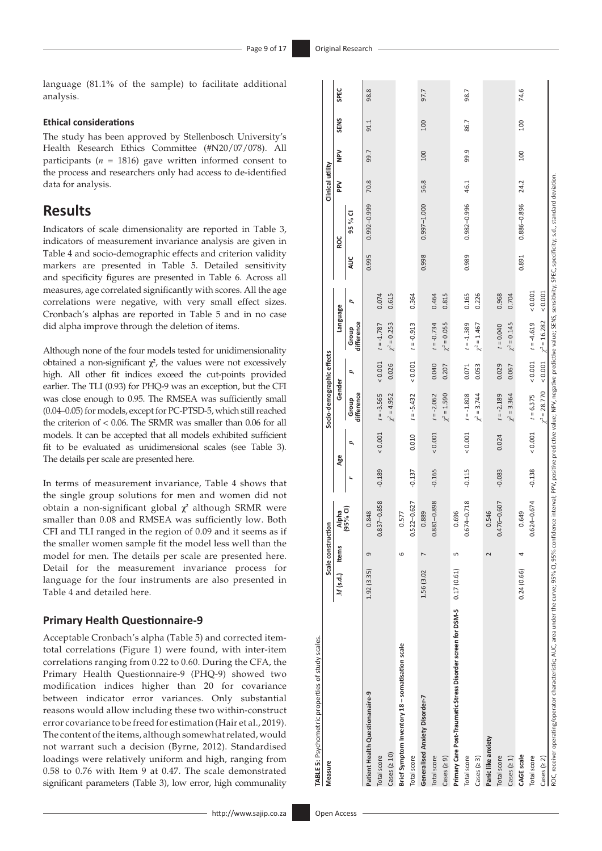language (81.1 % of the sample) to facilitate additional analysis.

### **Ethical considerations**

The study has been approved by Stellenbosch University's Health Research Ethics Committee (#N20/07/078). All participants ( *n* = 1816) gave written informed consent to the process and researchers only had access to de-identified data for analysis.

### **Results**

Indicators of scale dimensionality are reported in Table 3, indicators of measurement invariance analysis are given in Table 4 and socio-demographic effects and criterion validity markers are presented in Table 5. Detailed sensitivity and specificity figures are presented in Table 6. Across all measures, age correlated significantly with scores. All the age correlations were negative, with very small effect sizes. Cronbach's alphas are reported in Table 5 and in no case did alpha improve through the deletion of items.

Although none of the four models tested for unidimensionality obtained a non-significant  $\chi^2$ , the values were not excessively high. All other fit indices exceed the cut-points provided earlier. The TLI (0.93) for PHQ-9 was an exception, but the CFI was close enough to 0.95. The RMSEA was sufficiently small (0.04–0.05) for models, except for PC-PTSD-5, which still reached the criterion of < 0.06. The SRMR was smaller than 0.06 for all models. It can be accepted that all models exhibited sufficient fit to be evaluated as unidimensional scales (see Table 3). The details per scale are presented here.

In terms of measurement invariance, Table 4 shows that the single group solutions for men and women did not obtain a non-significant global **χ<sup>2</sup>** although SRMR were smaller than 0.08 and RMSEA was sufficiently low. Both CFI and TLI ranged in the region of 0.09 and it seems as if the smaller women sample fit the model less well than the model for men. The details per scale are presented here. Detail for the measurement invariance process for language for the four instruments are also presented in Table 4 and detailed here.

### **Primary Health Questionnaire-9**

Acceptable Cronbach's alpha (Table 5) and corrected itemtotal correlations (Figure 1) were found, with inter-item correlations ranging from 0.22 to 0.60. During the CFA, the Primary Health Questionnaire-9 (PHQ-9) showed two modification indices higher than 20 for covariance between indicator error variances. Only substantial reasons would allow including these two within-construct error covariance to be freed for estimation (Hair et al., 2019). The content of the items, although somewhat related, would not warrant such a decision (Byrne, 2012). Standardised loadings were relatively uniform and high, ranging from 0.58 to 0.76 with Item 9 at 0.47. The scale demonstrated significant parameters (Table 3), low error, high communality

| TABLE 5: Psychometric properties of study scales.<br>Measure                                                                                                                                                              |                  | Scale construction |                 |          |               | Socio-demographic effects |               |                      |         |       |             | Clinical utility |        |             |      |
|---------------------------------------------------------------------------------------------------------------------------------------------------------------------------------------------------------------------------|------------------|--------------------|-----------------|----------|---------------|---------------------------|---------------|----------------------|---------|-------|-------------|------------------|--------|-------------|------|
|                                                                                                                                                                                                                           | $M$ (s.d.) Items |                    | Alpha           |          | Age           | Gender                    |               | Language             |         |       | ROC         | <b>PM</b>        | $\geq$ | <b>SENS</b> | SPEC |
|                                                                                                                                                                                                                           |                  |                    | (95% CI)        |          | Þ             | difference<br>Group       | ρ             | difference<br>Group  | ₽       | AUC   | 95 % CI     |                  |        |             |      |
| Patient Health Questionanaire-9                                                                                                                                                                                           | 1.92(3.35)       | 9                  | 0.848           |          |               |                           |               |                      |         | 0.995 | 0.992-0.999 | 70.8             | 99.7   | 91.1        | 98.8 |
| Total score                                                                                                                                                                                                               |                  |                    | $0.837 - 0.858$ | $-0.189$ | ${}< 0.001$   | $t = -3.565$              |               | $0.001$ $t = -1.787$ | 0.074   |       |             |                  |        |             |      |
| $\text{Cases}$ ( $\geq 10$ )                                                                                                                                                                                              |                  |                    |                 |          |               | $\chi^2 = 4.952$          | 0.026         | $\chi^2 = 0.253$     | 0.615   |       |             |                  |        |             |      |
| Brief Symptom Inventory 18 - somatisation scale                                                                                                                                                                           |                  | $\circ$            | 0.577           |          |               |                           |               |                      |         |       |             |                  |        |             |      |
| Total score                                                                                                                                                                                                               |                  |                    | $0.522 - 0.627$ | $-0.137$ | 0.010         | $t = -5.432$              | ${}_{<0.001}$ | $t = -0.913$         | 0.364   |       |             |                  |        |             |      |
| Generalised Anxiety Disorder-7                                                                                                                                                                                            | 1.56 (3.02       | $\overline{ }$     | 0.889           |          |               |                           |               |                      |         | 0.998 | 0.997-1.000 | 56.8             | 100    | 100         | 97.7 |
| Total score                                                                                                                                                                                                               |                  |                    | $0.881 - 0.898$ | $-0.165$ | ${}< 0.001$   | $t = -2.062$              | 0.040         | $t = -0.734$         | 0.464   |       |             |                  |        |             |      |
| Cases ( $\geq$ 9)                                                                                                                                                                                                         |                  |                    |                 |          |               | $\chi^2 = 1.590$          | 0.207         | $\chi^2 = 0.055$     | 0.815   |       |             |                  |        |             |      |
| Primary Care Post-Traumatic Stress Disorder screen for DSM-5 0.17 (0.61)                                                                                                                                                  |                  | LN                 | 0.696           |          |               |                           |               |                      |         |       |             |                  |        |             |      |
| Total score                                                                                                                                                                                                               |                  |                    | 0.674-0.718     | $-0.115$ | ${}< 0.001$   | $t = -1.808$              | 0.071         | $t = -1.389$         | 0.165   | 0.989 | 0.982-0.996 | 46.1             | 99.9   | 86.7        | 98.7 |
| Cases ( $\geq$ 3)                                                                                                                                                                                                         |                  |                    |                 |          |               | $\chi^2 = 3.744$          | 0.053         | $\chi^2$ = 1.467     | 0.226   |       |             |                  |        |             |      |
| Panic like anxiety                                                                                                                                                                                                        |                  | $\sim$             | 0.546           |          |               |                           |               |                      |         |       |             |                  |        |             |      |
| Total score                                                                                                                                                                                                               |                  |                    | 0.476-0.607     | $-0.083$ | 0.024         | $t = -2.189$              | 0.029         | $t = 0.040$          | 0.968   |       |             |                  |        |             |      |
| Cases $(21)$                                                                                                                                                                                                              |                  |                    |                 |          |               | $\chi^2 = 3.364$          | 0.067         | $\chi^2 = 0.145$     | 0.704   |       |             |                  |        |             |      |
| CAGE scale                                                                                                                                                                                                                | 0.24(0.66)       | 4                  | 0.649           |          |               |                           |               |                      |         | 0.891 | 0.886-0.896 | 24.2             | 100    | 100         | 74.6 |
| Total score                                                                                                                                                                                                               |                  |                    | $0.624 - 0.674$ | $-0.138$ | ${}_{<0.001}$ | $t = 6.375$               |               | $(2.5 + 4.619)$      | 0.001   |       |             |                  |        |             |      |
| Cases $(2 2)$                                                                                                                                                                                                             |                  |                    |                 |          |               | $\chi^2 = 28.770$         | ${}< 0.001$   | $\chi^2$ = 16.282    | & 0.001 |       |             |                  |        |             |      |
| ROC. receiver operating/operator characteristic: AUC. area under the curve; 95% confidence interval; PPV, positive walue; NPV, negative predictive value; SENS, sensitivity; SPEC. specificity; s.d., standard deviation. |                  |                    |                 |          |               |                           |               |                      |         |       |             |                  |        |             |      |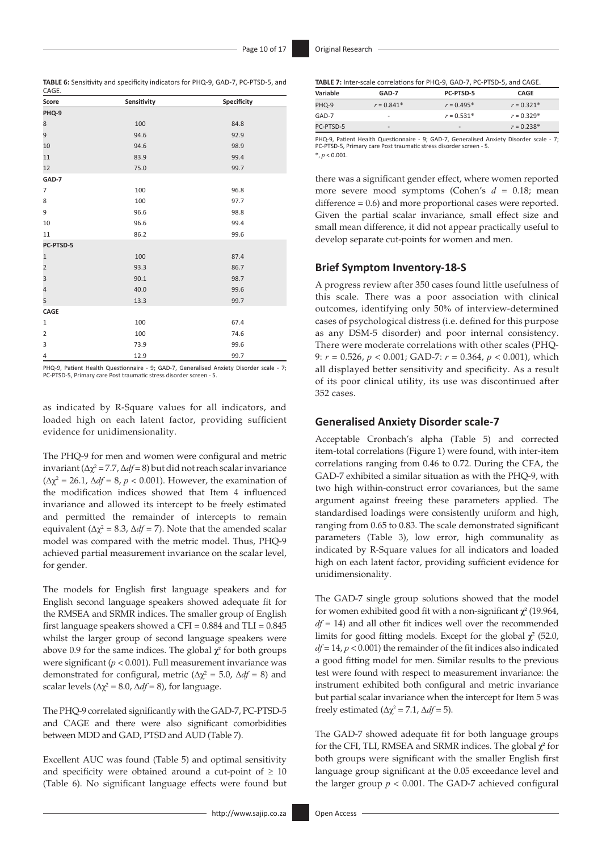**TABLE 6:** Sensitivity and specificity indicators for PHQ-9, GAD-7, PC-PTSD-5, and

| CAGE.          |             |             |
|----------------|-------------|-------------|
| Score          | Sensitivity | Specificity |
| PHQ-9          |             |             |
| 8              | 100         | 84.8        |
| 9              | 94.6        | 92.9        |
| 10             | 94.6        | 98.9        |
| 11             | 83.9        | 99.4        |
| 12             | 75.0        | 99.7        |
| GAD-7          |             |             |
| $\overline{7}$ | 100         | 96.8        |
| 8              | 100         | 97.7        |
| 9              | 96.6        | 98.8        |
| 10             | 96.6        | 99.4        |
| 11             | 86.2        | 99.6        |
| PC-PTSD-5      |             |             |
| $\mathbf{1}$   | 100         | 87.4        |
| $\overline{2}$ | 93.3        | 86.7        |
| 3              | 90.1        | 98.7        |
| 4              | 40.0        | 99.6        |
| 5              | 13.3        | 99.7        |
| CAGE           |             |             |
| $\mathbf{1}$   | 100         | 67.4        |
| $\overline{2}$ | 100         | 74.6        |
| 3              | 73.9        | 99.6        |
| 4              | 12.9        | 99.7        |

PHQ-9, Patient Health Questionnaire - 9; GAD-7, Generalised Anxiety Disorder scale - 7; PC-PTSD-5, Primary care Post traumatic stress disorder screen - 5.

as indicated by R-Square values for all indicators, and loaded high on each latent factor, providing sufficient evidence for unidimensionality.

The PHQ-9 for men and women were configural and metric invariant ( $\Delta \chi^2$  = 7.7,  $\Delta df$  = 8) but did not reach scalar invariance ( $\Delta \chi^2$  = 26.1,  $\Delta df$  = 8, *p* < 0.001). However, the examination of the modification indices showed that Item 4 influenced invariance and allowed its intercept to be freely estimated and permitted the remainder of intercepts to remain equivalent ( $\Delta \chi^2 = 8.3$ ,  $\Delta df = 7$ ). Note that the amended scalar model was compared with the metric model. Thus, PHQ-9 achieved partial measurement invariance on the scalar level, for gender.

The models for English first language speakers and for English second language speakers showed adequate fit for the RMSEA and SRMR indices. The smaller group of English first language speakers showed a CFI =  $0.884$  and TLI =  $0.845$ whilst the larger group of second language speakers were above 0.9 for the same indices. The global **χ<sup>2</sup>** for both groups were significant (*p* < 0.001). Full measurement invariance was demonstrated for configural, metric ( $\Delta \chi^2 = 5.0$ ,  $\Delta df = 8$ ) and scalar levels ( $\Delta \chi^2 = 8.0$ ,  $\Delta df = 8$ ), for language.

The PHQ-9 correlated significantly with the GAD-7, PC-PTSD-5 and CAGE and there were also significant comorbidities between MDD and GAD, PTSD and AUD (Table 7).

Excellent AUC was found (Table 5) and optimal sensitivity and specificity were obtained around a cut-point of  $\geq 10$ (Table 6). No significant language effects were found but **TABLE 7:** Inter-scale correlations for PHQ-9, GAD-7, PC-PTSD-5, and CAGE.

| GAD-7           | PC-PTSD-5                    | CAGE         |
|-----------------|------------------------------|--------------|
| $r = 0.841*$    | $r = 0.495*$                 | $r = 0.321*$ |
| -               | $r = 0.531*$                 | $r = 0.329*$ |
| $\qquad \qquad$ | $\qquad \qquad \blacksquare$ | $r = 0.238*$ |
|                 |                              |              |

PHQ-9, Patient Health Questionnaire - 9; GAD-7, Generalised Anxiety Disorder scale - 7; PC-PTSD-5, Primary care Post traumatic stress disorder screen - 5. \*, *p* < 0.001.

there was a significant gender effect, where women reported more severe mood symptoms (Cohen's *d* = 0.18; mean difference = 0.6) and more proportional cases were reported. Given the partial scalar invariance, small effect size and small mean difference, it did not appear practically useful to develop separate cut-points for women and men.

### **Brief Symptom Inventory-18-S**

A progress review after 350 cases found little usefulness of this scale. There was a poor association with clinical outcomes, identifying only 50% of interview-determined cases of psychological distress (i.e. defined for this purpose as any DSM-5 disorder) and poor internal consistency. There were moderate correlations with other scales (PHQ-9: *r* = 0.526, *p* < 0.001; GAD-7: *r* = 0.364, *p* < 0.001), which all displayed better sensitivity and specificity. As a result of its poor clinical utility, its use was discontinued after 352 cases.

### **Generalised Anxiety Disorder scale-7**

Acceptable Cronbach's alpha (Table 5) and corrected item-total correlations (Figure 1) were found, with inter-item correlations ranging from 0.46 to 0.72. During the CFA, the GAD-7 exhibited a similar situation as with the PHQ-9, with two high within-construct error covariances, but the same argument against freeing these parameters applied. The standardised loadings were consistently uniform and high, ranging from 0.65 to 0.83. The scale demonstrated significant parameters (Table 3), low error, high communality as indicated by R-Square values for all indicators and loaded high on each latent factor, providing sufficient evidence for unidimensionality.

The GAD-7 single group solutions showed that the model for women exhibited good fit with a non-significant **χ<sup>2</sup>** (19.964, *df* = 14) and all other fit indices well over the recommended limits for good fitting models. Except for the global  $\chi^2$  (52.0, *df* = 14, *p* < 0.001) the remainder of the fit indices also indicated a good fitting model for men. Similar results to the previous test were found with respect to measurement invariance: the instrument exhibited both configural and metric invariance but partial scalar invariance when the intercept for Item 5 was freely estimated ( $\Delta \chi^2 = 7.1$ ,  $\Delta df = 5$ ).

The GAD-7 showed adequate fit for both language groups for the CFI, TLI, RMSEA and SRMR indices. The global **χ<sup>2</sup>** for both groups were significant with the smaller English first language group significant at the 0.05 exceedance level and the larger group  $p < 0.001$ . The GAD-7 achieved configural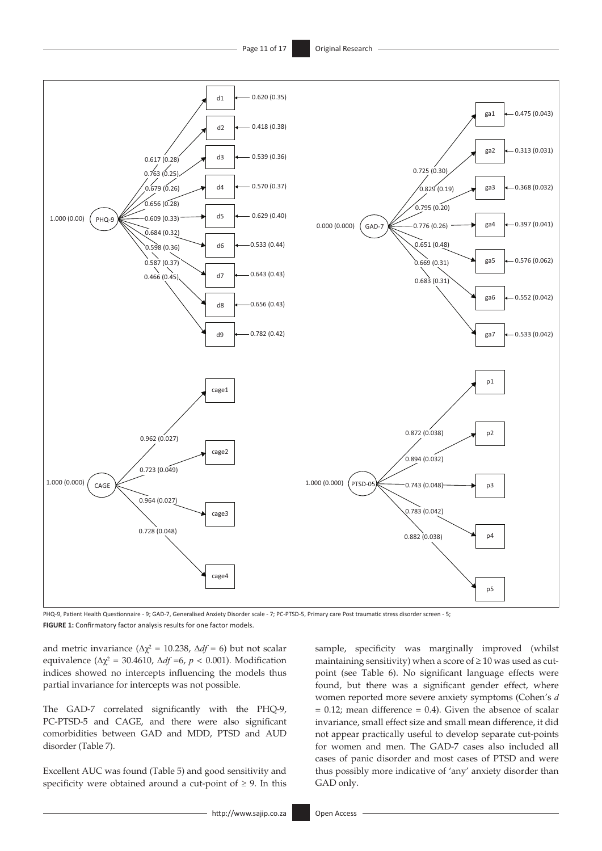

PHQ-9, Patient Health Questionnaire - 9; GAD-7, Generalised Anxiety Disorder scale - 7; PC-PTSD-5, Primary care Post traumatic stress disorder screen - 5; **FIGURE 1:** Confirmatory factor analysis results for one factor models.

and metric invariance ( $\Delta \chi^2 = 10.238$ ,  $\Delta df = 6$ ) but not scalar equivalence ( $\Delta \chi^2$  = 30.4610,  $\Delta df$  =6,  $p < 0.001$ ). Modification indices showed no intercepts influencing the models thus partial invariance for intercepts was not possible.

The GAD-7 correlated significantly with the PHQ-9, PC-PTSD-5 and CAGE, and there were also significant comorbidities between GAD and MDD, PTSD and AUD disorder (Table 7).

Excellent AUC was found (Table 5) and good sensitivity and specificity were obtained around a cut-point of  $\geq$  9. In this sample, specificity was marginally improved (whilst maintaining sensitivity) when a score of  $\geq 10$  was used as cutpoint (see Table 6). No significant language effects were found, but there was a significant gender effect, where women reported more severe anxiety symptoms (Cohen's *d*  $= 0.12$ ; mean difference  $= 0.4$ ). Given the absence of scalar invariance, small effect size and small mean difference, it did not appear practically useful to develop separate cut-points for women and men. The GAD-7 cases also included all cases of panic disorder and most cases of PTSD and were thus possibly more indicative of 'any' anxiety disorder than GAD only.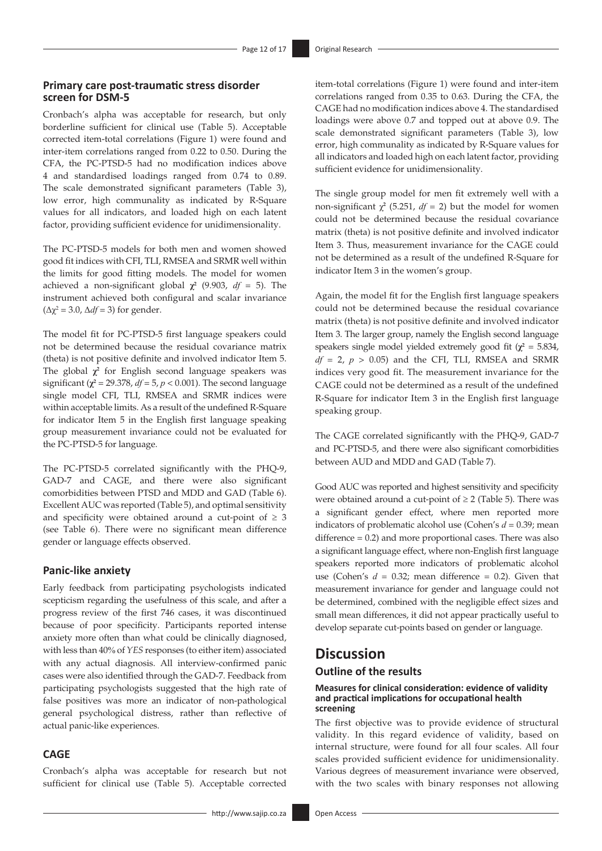### **Primary care post-traumatic stress disorder screen for DSM-5**

Cronbach's alpha was acceptable for research, but only borderline sufficient for clinical use (Table 5). Acceptable corrected item-total correlations (Figure 1) were found and inter-item correlations ranged from 0.22 to 0.50. During the CFA, the PC-PTSD-5 had no modification indices above 4 and standardised loadings ranged from 0.74 to 0.89. The scale demonstrated significant parameters (Table 3), low error, high communality as indicated by R-Square values for all indicators, and loaded high on each latent factor, providing sufficient evidence for unidimensionality.

The PC-PTSD-5 models for both men and women showed good fit indices with CFI, TLI, RMSEA and SRMR well within the limits for good fitting models. The model for women achieved a non-significant global  $\chi^2$  (9.903,  $df = 5$ ). The instrument achieved both configural and scalar invariance  $(\Delta \chi^2 = 3.0, \Delta df = 3)$  for gender.

The model fit for PC-PTSD-5 first language speakers could not be determined because the residual covariance matrix (theta) is not positive definite and involved indicator Item 5. The global  $\chi^2$  for English second language speakers was significant ( $\chi^2$  = 29.378,  $df$  = 5,  $p$  < 0.001). The second language single model CFI, TLI, RMSEA and SRMR indices were within acceptable limits. As a result of the undefined R-Square for indicator Item 5 in the English first language speaking group measurement invariance could not be evaluated for the PC-PTSD-5 for language.

The PC-PTSD-5 correlated significantly with the PHQ-9, GAD-7 and CAGE, and there were also significant comorbidities between PTSD and MDD and GAD (Table 6). Excellent AUC was reported (Table 5), and optimal sensitivity and specificity were obtained around a cut-point of  $\geq 3$ (see Table 6). There were no significant mean difference gender or language effects observed.

### **Panic-like anxiety**

Early feedback from participating psychologists indicated scepticism regarding the usefulness of this scale, and after a progress review of the first 746 cases, it was discontinued because of poor specificity. Participants reported intense anxiety more often than what could be clinically diagnosed, with less than 40% of *YES* responses (to either item) associated with any actual diagnosis. All interview-confirmed panic cases were also identified through the GAD-7. Feedback from participating psychologists suggested that the high rate of false positives was more an indicator of non-pathological general psychological distress, rather than reflective of actual panic-like experiences.

### **CAGE**

Cronbach's alpha was acceptable for research but not sufficient for clinical use (Table 5). Acceptable corrected

item-total correlations (Figure 1) were found and inter-item correlations ranged from 0.35 to 0.63. During the CFA, the CAGE had no modification indices above 4. The standardised loadings were above 0.7 and topped out at above 0.9. The scale demonstrated significant parameters (Table 3), low error, high communality as indicated by R-Square values for all indicators and loaded high on each latent factor, providing sufficient evidence for unidimensionality.

The single group model for men fit extremely well with a non-significant  $\chi^2$  (5.251, *df* = 2) but the model for women could not be determined because the residual covariance matrix (theta) is not positive definite and involved indicator Item 3. Thus, measurement invariance for the CAGE could not be determined as a result of the undefined R-Square for indicator Item 3 in the women's group.

Again, the model fit for the English first language speakers could not be determined because the residual covariance matrix (theta) is not positive definite and involved indicator Item 3. The larger group, namely the English second language speakers single model yielded extremely good fit  $(\chi^2 = 5.834,$  $df = 2$ ,  $p > 0.05$ ) and the CFI, TLI, RMSEA and SRMR indices very good fit. The measurement invariance for the CAGE could not be determined as a result of the undefined R-Square for indicator Item 3 in the English first language speaking group.

The CAGE correlated significantly with the PHQ-9, GAD-7 and PC-PTSD-5, and there were also significant comorbidities between AUD and MDD and GAD (Table 7).

Good AUC was reported and highest sensitivity and specificity were obtained around a cut-point of  $\geq 2$  (Table 5). There was a significant gender effect, where men reported more indicators of problematic alcohol use (Cohen's *d* = 0.39; mean difference = 0.2) and more proportional cases. There was also a significant language effect, where non-English first language speakers reported more indicators of problematic alcohol use (Cohen's *d* = 0.32; mean difference = 0.2). Given that measurement invariance for gender and language could not be determined, combined with the negligible effect sizes and small mean differences, it did not appear practically useful to develop separate cut-points based on gender or language.

### **Discussion**

### **Outline of the results**

### **Measures for clinical consideration: evidence of validity and practical implications for occupational health screening**

The first objective was to provide evidence of structural validity. In this regard evidence of validity, based on internal structure, were found for all four scales. All four scales provided sufficient evidence for unidimensionality. Various degrees of measurement invariance were observed, with the two scales with binary responses not allowing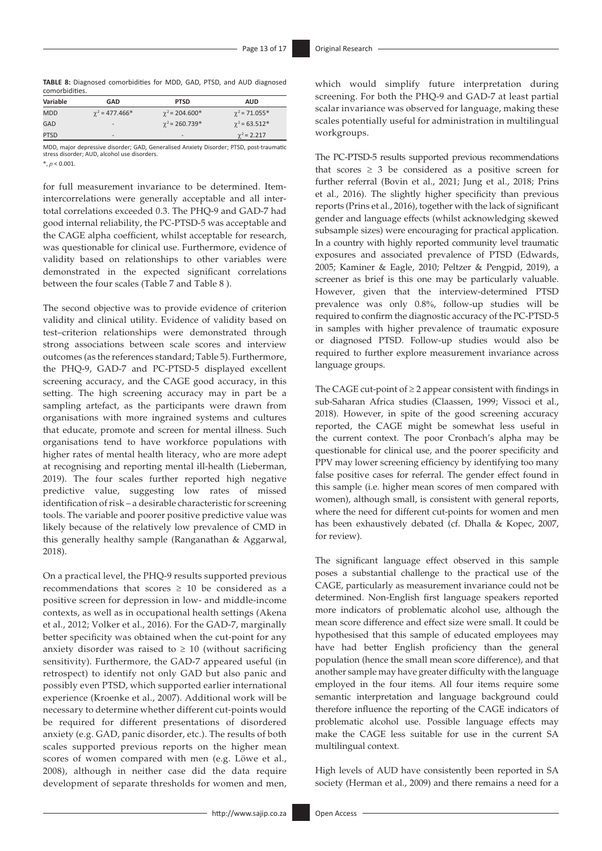**TABLE 8:** Diagnosed comorbidities for MDD, GAD, PTSD, and AUD diagnosed comorbidities.

| Variable    | GAD                      | <b>PTSD</b>              | <b>AUD</b>           |
|-------------|--------------------------|--------------------------|----------------------|
| <b>MDD</b>  | $\gamma^2$ = 477.466*    | $\gamma^2$ = 204.600*    | $\gamma^2$ = 71.055* |
| GAD         | $\overline{\phantom{a}}$ | $\gamma^2$ = 260.739*    | $\gamma^2$ = 63.512* |
| <b>PTSD</b> | -                        | $\overline{\phantom{0}}$ | $\gamma^2$ = 2.217   |

MDD, major depressive disorder; GAD, Generalised Anxiety Disorder; PTSD, post-traumatic stress disorder; AUD, alcohol use disorders. \*, *p* < 0.001.

for full measurement invariance to be determined. Itemintercorrelations were generally acceptable and all intertotal correlations exceeded 0.3. The PHQ-9 and GAD-7 had good internal reliability, the PC-PTSD-5 was acceptable and the CAGE alpha coefficient, whilst acceptable for research, was questionable for clinical use. Furthermore, evidence of validity based on relationships to other variables were demonstrated in the expected significant correlations between the four scales (Table 7 and Table 8 ).

The second objective was to provide evidence of criterion validity and clinical utility. Evidence of validity based on test–criterion relationships were demonstrated through strong associations between scale scores and interview outcomes (as the references standard; Table 5). Furthermore, the PHQ-9, GAD-7 and PC-PTSD-5 displayed excellent screening accuracy, and the CAGE good accuracy, in this setting. The high screening accuracy may in part be a sampling artefact, as the participants were drawn from organisations with more ingrained systems and cultures that educate, promote and screen for mental illness. Such organisations tend to have workforce populations with higher rates of mental health literacy, who are more adept at recognising and reporting mental ill-health (Lieberman, 2019). The four scales further reported high negative predictive value, suggesting low rates of missed identification of risk – a desirable characteristic for screening tools. The variable and poorer positive predictive value was likely because of the relatively low prevalence of CMD in this generally healthy sample (Ranganathan & Aggarwal, 2018).

On a practical level, the PHQ-9 results supported previous recommendations that scores  $\geq$  10 be considered as a positive screen for depression in low- and middle-income contexts, as well as in occupational health settings (Akena et al., 2012; Volker et al., 2016). For the GAD-7, marginally better specificity was obtained when the cut-point for any anxiety disorder was raised to  $\geq 10$  (without sacrificing sensitivity). Furthermore, the GAD-7 appeared useful (in retrospect) to identify not only GAD but also panic and possibly even PTSD, which supported earlier international experience (Kroenke et al., 2007). Additional work will be necessary to determine whether different cut-points would be required for different presentations of disordered anxiety (e.g. GAD, panic disorder, etc.). The results of both scales supported previous reports on the higher mean scores of women compared with men (e.g. Löwe et al., 2008), although in neither case did the data require development of separate thresholds for women and men, which would simplify future interpretation during screening. For both the PHQ-9 and GAD-7 at least partial scalar invariance was observed for language, making these scales potentially useful for administration in multilingual workgroups.

The PC-PTSD-5 results supported previous recommendations that scores  $\geq$  3 be considered as a positive screen for further referral (Bovin et al., 2021; Jung et al., 2018; Prins et al., 2016). The slightly higher specificity than previous reports (Prins et al., 2016), together with the lack of significant gender and language effects (whilst acknowledging skewed subsample sizes) were encouraging for practical application. In a country with highly reported community level traumatic exposures and associated prevalence of PTSD (Edwards, 2005; Kaminer & Eagle, 2010; Peltzer & Pengpid, 2019), a screener as brief is this one may be particularly valuable. However, given that the interview-determined PTSD prevalence was only 0.8%, follow-up studies will be required to confirm the diagnostic accuracy of the PC-PTSD-5 in samples with higher prevalence of traumatic exposure or diagnosed PTSD. Follow-up studies would also be required to further explore measurement invariance across language groups.

The CAGE cut-point of  $\geq 2$  appear consistent with findings in sub-Saharan Africa studies (Claassen, 1999; Vissoci et al., 2018). However, in spite of the good screening accuracy reported, the CAGE might be somewhat less useful in the current context. The poor Cronbach's alpha may be questionable for clinical use, and the poorer specificity and PPV may lower screening efficiency by identifying too many false positive cases for referral. The gender effect found in this sample (i.e. higher mean scores of men compared with women), although small, is consistent with general reports, where the need for different cut-points for women and men has been exhaustively debated (cf. Dhalla & Kopec, 2007, for review).

The significant language effect observed in this sample poses a substantial challenge to the practical use of the CAGE, particularly as measurement invariance could not be determined. Non-English first language speakers reported more indicators of problematic alcohol use, although the mean score difference and effect size were small. It could be hypothesised that this sample of educated employees may have had better English proficiency than the general population (hence the small mean score difference), and that another sample may have greater difficulty with the language employed in the four items. All four items require some semantic interpretation and language background could therefore influence the reporting of the CAGE indicators of problematic alcohol use. Possible language effects may make the CAGE less suitable for use in the current SA multilingual context.

High levels of AUD have consistently been reported in SA society (Herman et al., 2009) and there remains a need for a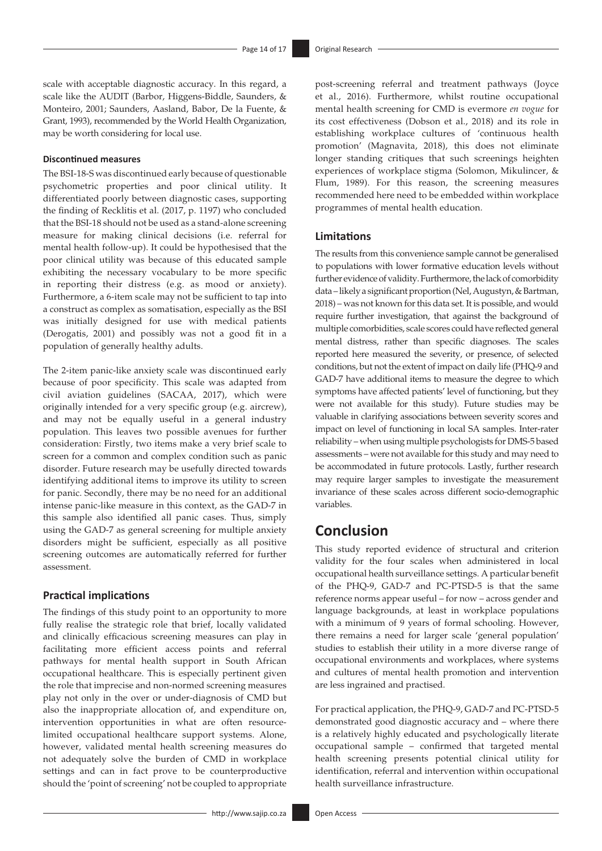scale with acceptable diagnostic accuracy. In this regard, a scale like the AUDIT (Barbor, Higgens-Biddle, Saunders, & Monteiro, 2001; Saunders, Aasland, Babor, De la Fuente, & Grant, 1993), recommended by the World Health Organization, may be worth considering for local use.

### **Discontinued measures**

The BSI-18-S was discontinued early because of questionable psychometric properties and poor clinical utility. It differentiated poorly between diagnostic cases, supporting the finding of Recklitis et al. (2017, p. 1197) who concluded that the BSI-18 should not be used as a stand-alone screening measure for making clinical decisions (i.e. referral for mental health follow-up). It could be hypothesised that the poor clinical utility was because of this educated sample exhibiting the necessary vocabulary to be more specific in reporting their distress (e.g. as mood or anxiety). Furthermore, a 6-item scale may not be sufficient to tap into a construct as complex as somatisation, especially as the BSI was initially designed for use with medical patients (Derogatis, 2001) and possibly was not a good fit in a population of generally healthy adults.

The 2-item panic-like anxiety scale was discontinued early because of poor specificity. This scale was adapted from civil aviation guidelines (SACAA, 2017), which were originally intended for a very specific group (e.g. aircrew), and may not be equally useful in a general industry population. This leaves two possible avenues for further consideration: Firstly, two items make a very brief scale to screen for a common and complex condition such as panic disorder. Future research may be usefully directed towards identifying additional items to improve its utility to screen for panic. Secondly, there may be no need for an additional intense panic-like measure in this context, as the GAD-7 in this sample also identified all panic cases. Thus, simply using the GAD-7 as general screening for multiple anxiety disorders might be sufficient, especially as all positive screening outcomes are automatically referred for further assessment.

### **Practical implications**

The findings of this study point to an opportunity to more fully realise the strategic role that brief, locally validated and clinically efficacious screening measures can play in facilitating more efficient access points and referral pathways for mental health support in South African occupational healthcare. This is especially pertinent given the role that imprecise and non-normed screening measures play not only in the over or under-diagnosis of CMD but also the inappropriate allocation of, and expenditure on, intervention opportunities in what are often resourcelimited occupational healthcare support systems. Alone, however, validated mental health screening measures do not adequately solve the burden of CMD in workplace settings and can in fact prove to be counterproductive should the 'point of screening' not be coupled to appropriate

post-screening referral and treatment pathways (Joyce et al., 2016). Furthermore, whilst routine occupational mental health screening for CMD is evermore *en vogue* for its cost effectiveness (Dobson et al., 2018) and its role in establishing workplace cultures of 'continuous health promotion' (Magnavita, 2018), this does not eliminate longer standing critiques that such screenings heighten experiences of workplace stigma (Solomon, Mikulincer, & Flum, 1989). For this reason, the screening measures recommended here need to be embedded within workplace programmes of mental health education.

### **Limitations**

The results from this convenience sample cannot be generalised to populations with lower formative education levels without further evidence of validity. Furthermore, the lack of comorbidity data – likely a significant proportion (Nel, Augustyn, & Bartman, 2018) – was not known for this data set. It is possible, and would require further investigation, that against the background of multiple comorbidities, scale scores could have reflected general mental distress, rather than specific diagnoses. The scales reported here measured the severity, or presence, of selected conditions, but not the extent of impact on daily life (PHQ-9 and GAD-7 have additional items to measure the degree to which symptoms have affected patients' level of functioning, but they were not available for this study). Future studies may be valuable in clarifying associations between severity scores and impact on level of functioning in local SA samples. Inter-rater reliability – when using multiple psychologists for DMS-5 based assessments – were not available for this study and may need to be accommodated in future protocols. Lastly, further research may require larger samples to investigate the measurement invariance of these scales across different socio-demographic variables.

### **Conclusion**

This study reported evidence of structural and criterion validity for the four scales when administered in local occupational health surveillance settings. A particular benefit of the PHQ-9, GAD-7 and PC-PTSD-5 is that the same reference norms appear useful – for now – across gender and language backgrounds, at least in workplace populations with a minimum of 9 years of formal schooling. However, there remains a need for larger scale 'general population' studies to establish their utility in a more diverse range of occupational environments and workplaces, where systems and cultures of mental health promotion and intervention are less ingrained and practised.

For practical application, the PHQ-9, GAD-7 and PC-PTSD-5 demonstrated good diagnostic accuracy and – where there is a relatively highly educated and psychologically literate occupational sample – confirmed that targeted mental health screening presents potential clinical utility for identification, referral and intervention within occupational health surveillance infrastructure.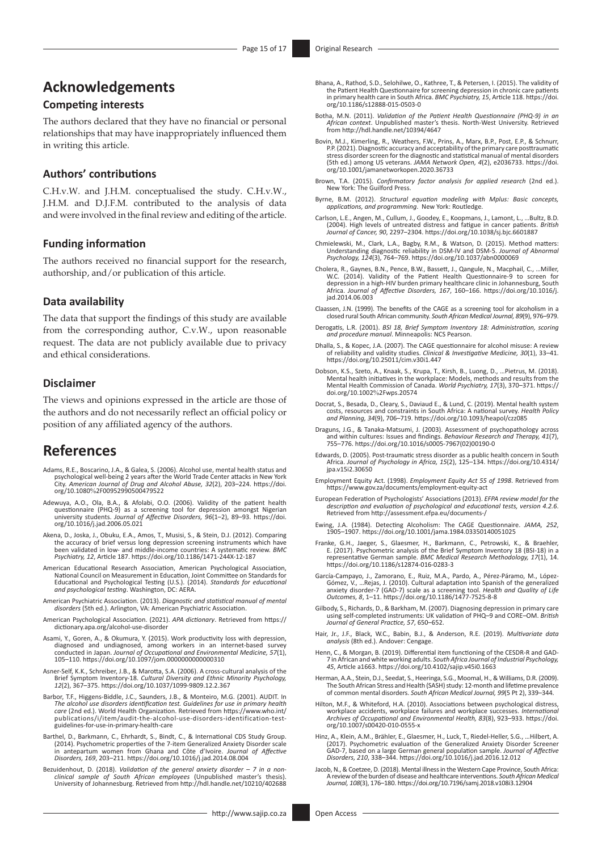# **Acknowledgements**

### **Competing interests**

The authors declared that they have no financial or personal relationships that may have inappropriately influenced them in writing this article.

### **Authors' contributions**

C.H.v.W. and J.H.M. conceptualised the study. C.H.v.W., J.H.M. and D.J.F.M. contributed to the analysis of data and were involved in the final review and editing of the article.

### **Funding information**

The authors received no financial support for the research, authorship, and/or publication of this article.

### **Data availability**

The data that support the findings of this study are available from the corresponding author, C.v.W., upon reasonable request. The data are not publicly available due to privacy and ethical considerations.

### **Disclaimer**

The views and opinions expressed in the article are those of the authors and do not necessarily reflect an official policy or position of any affiliated agency of the authors.

### **References**

- Adams, R.E., Boscarino, J.A., & Galea, S. (2006). Alcohol use, mental health status and psychological well-being 2 years after the World Trade Center attacks in New York City. *American Journal of Drug and Alcohol Abuse, 32*(2), 203–224. [https://doi.](https://doi.org/10.1080%2F00952990500479522) org/10.1080%[2F00952990500479522](https://doi.org/10.1080%2F00952990500479522)
- Adewuya, A.O., Ola, B.A., & Afolabi, O.O. (2006). Validity of the patient health questionnaire (PHQ-9) as a screening tool for depression amongst Nigerian university students. *Journal of Affective Disorders, 96*(1–2), 89–93. [https://doi.](https://doi.org/10.1016/j.jad.2006.05.021) [org/10.1016/j.jad.2006.05.021](https://doi.org/10.1016/j.jad.2006.05.021)
- Akena, D., Joska, J., Obuku, E.A., Amos, T., Musisi, S., & Stein, D.J. (2012). Comparing<br>the accuracy of brief versus long depression screening instruments which have<br>been validated in low- and middle-income countries: A s
- American Educational Research Association, American Psychological Association, National Council on Measurement in Education, Joint Committee on Standards for Educational and Psychological Testing (U.S.). (2014). *Standards for educational and psychological testing*. Washington, DC: AERA.
- American Psychiatric Association. (2013). *Diagnostic and statistical manual of mental disorders* (5th ed.). Arlington, VA: American Psychiatric Association.
- American Psychological Association. (2021). *APA dictionary*. Retrieved from [https://](https://dictionary.apa.org/alcohol-use-disorder) [dictionary.apa.org/alcohol-use-disorder](https://dictionary.apa.org/alcohol-use-disorder)
- Asami, Y., Goren, A., & Okumura, Y. (2015). Work productivity loss with depression, diagnosed and undiagnosed, among workers in an internet-based survey conducted in Japan. *Journal of Occupational and Environmental Medicine, 57*(1), 105–110. <https://doi.org/10.1097/jom.0000000000000310>
- Asner-Self, K.K., Schreiber, J.B., & Marotta, S.A. (2006). A cross-cultural analysis of the Brief Symptom Inventory-18. *Cultural Diversity and Ethnic Minority Psychology, 12*(2), 367–375.<https://doi.org/10.1037/1099-9809.12.2.367>
- Barbor, T.F., Higgens-Biddle, J.C., Saunders, J.B., & Monteiro, M.G. (2001). AUDIT. In *The alcohol use disorders identification test. Guidelines for use in primary health care* (2nd ed.). World Health Organization. Retrieved from [https://www.who.int/](https://www.who.int/publications/i/item/audit-the-alcohol-use-disorders-identification-test-guidelines-for-use-in-primary-health-care) [publications/i/item/audit-the-alcohol-use-disorders-identification-test](https://www.who.int/publications/i/item/audit-the-alcohol-use-disorders-identification-test-guidelines-for-use-in-primary-health-care)[guidelines-for-use-in-primary-health-care](https://www.who.int/publications/i/item/audit-the-alcohol-use-disorders-identification-test-guidelines-for-use-in-primary-health-care)
- Barthel, D., Barkmann, C., Ehrhardt, S., Bindt, C., & International CDS Study Group. (2014). Psychometric properties of the 7-item Generalized Anxiety Disorder scale in antepartum women from Ghana and Côte d'Ivoire. *Journal of Affective Disorders, 169*, 203–211. <https://doi.org/10.1016/j.jad.2014.08.004>
- Bezuidenhout, D. (2018). *Validation of the general anxiety disorder 7 in a non-clinical sample of South African employees* (Unpublished master's thesis). University of Johannesburg. Retrieved from<http://hdl.handle.net/10210/402688>
- Bhana, A., Rathod, S.D., Selohilwe, O., Kathree, T., & Petersen, I. (2015). The validity of the Patient Health Questionnaire for screening depression in chronic care patients the Patient Health Questionnaire for screening depression in chronic care patients. in primary health care in South Africa. *BMC Psychiatry, 15*, Article 118. [https://doi.](https://doi.org/10.1186/s12888-015-0503-0) [org/10.1186/s12888-015-0503-0](https://doi.org/10.1186/s12888-015-0503-0)
- Botha, M.N. (2011). *Validation of the Patient Health Questionnaire (PHQ-9) in an African context*. Unpublished master's thesis. North-West University. Retrieved from<http://hdl.handle.net/10394/4647>
- Bovin, M.J., Kimerling, R., Weathers, F.W., Prins, A., Marx, B.P., Post, E.P., & Schnurr, P.P. (2021). Diagnostic accuracy and acceptability of the primary care posttraumatic<br>stress disorder screen for the diagnostic and statistical manual of mental disorders<br>(5th ed.) among US veterans. JAMA Network Open, 4(2)
- Brown, T.A. (2015). *Confirmatory factor analysis for applied research* (2nd ed.). New York: The Guilford Press.
- Byrne, B.M. (2012). *Structural equation modeling with Mplus: Basic concepts, applications, and programming*. New York: Routledge.
- Carlson, L.E., Angen, M., Cullum, J., Goodey, E., Koopmans, J., Lamont, L., …Bultz, B.D. (2004). High levels of untreated distress and fatigue in cancer patients. *British Journal of Cancer, 90*, 2297–2304. <https://doi.org/10.1038/sj.bjc.6601887>
- Chmielewski, M., Clark, L.A., Bagby, R.M., & Watson, D. (2015). Method matters:<br>Understanding diagnostic reliability in DSM-IV and DSM-5. Journal of Abnormal<br>Psychology, 124(3), 764–769. https://doi.org/10.1037/abn000069
- Cholera, R., Gaynes, B.N., Pence, B.W., Bassett, J., Qangule, N., Macphail, C., …Miller, W.C. (2014). Validity of the Patient Health Questionnaire-9 to screen for depression in a high-HIV burden primary healthcare clinic in Johannesburg, South Africa. *Journal of Affective Disorders, 167*, 160–166. [https://doi.org/10.1016/j.](https://doi.org/10.1016/j.jad.2014.06.003) [jad.2014.06.003](https://doi.org/10.1016/j.jad.2014.06.003)
- Claassen, J.N. (1999). The benefits of the CAGE as a screening tool for alcoholism in a closed rural South African community. *South African Medical Journal, 89*(9), 976–979.
- Derogatis, L.R. (2001). *BSI 18, Brief Symptom Inventory 18: Administration, scoring and procedure manual*. Minneapolis: NCS Pearson.
- Dhalla, S., & Kopec, J.A. (2007). The CAGE questionnaire for alcohol misuse: A review of reliability and validity studies. *Clinical & Investigative Medicine, 30*(1), 33–41. <https://doi.org/10.25011/cim.v30i1.447>
- Dobson, K.S., Szeto, A., Knaak, S., Krupa, T., Kirsh, B., Luong, D., …Pietrus, M. (2018). Mental health initiatives in the workplace: Models, methods and results from the Mental Health Commission of Canada. *World Psychiatry, 17*(3), 370–371. [https://](https://doi.org/10.1002%2Fwps.20574) [doi.org/10.1002](https://doi.org/10.1002%2Fwps.20574)%2Fwps.20574
- Docrat, S., Besada, D., Cleary, S., Daviaud E., & Lund, C. (2019). Mental health system costs, resources and constraints in South Africa: A national survey. *Health Policy and Planning, 34*(9), 706–719.<https://doi.org/10.1093/heapol/czz085>
- Draguns, J.G., & Tanaka-Matsumi, J. (2003). Assessment of psychopathology across and within cultures: Issues and findings. *Behaviour Research and Therapy, 41*(7), 755–776. [https://doi.org/10.1016/s0005-7967\(02\)00190-0](https://doi.org/10.1016/s0005-7967(02)00190-0)
- Edwards, D. (2005). Post-traumatic stress disorder as a public health concern in South Africa. *Journal of Psychology in Africa, 15*(2), 125–134. [https://doi.org/10.4314/](https://doi.org/10.4314/jpa.v15i2.30650) [jpa.v15i2.30650](https://doi.org/10.4314/jpa.v15i2.30650)
- Employment Equity Act. (1998). *Employment Equity Act 55 of 1998*. Retrieved from <https://www.gov.za/documents/employment-equity-act>
- European Federation of Psychologists' Associations (2013). *EFPA review model for the description and evaluation of psychological and educational tests, version 4.2.6*. Retrieved from<http://assessment.efpa.eu/documents-/>
- Ewing, J.A. (1984). Detecting Alcoholism: The CAGE Questionnaire. *JAMA, 252*, 1905–1907.<https://doi.org/10.1001/jama.1984.03350140051025>
- Franke, G.H., Jaeger, S., Glaesmer, H., Barkmann, C., Petrowski, K., & Braehler, E. (2017). Psychometric analysis of the Brief Symptom Inventory 18 (BSI-18) in a representative German sample. *BMC Medical Research Methodology, 17*(1), 14. <https://doi.org/10.1186/s12874-016-0283-3>
- García-Campayo, J., Zamorano, E., Ruiz, M.A., Pardo, A., Pérez-Páramo, M., López-Gómez, V., ...Rejas, J. (2010). Cultural adaptation into Spanish of the generalized<br>anxiety disorder-7 (GAD-7) scale as a screening tool. *Health and Quality of Life*<br>*Outcomes, 8,* 1–11. https://doi.org/10.1186/1477-7525-
- Gilbody, S., Richards, D., & Barkham, M. (2007). Diagnosing depression in primary care using self-completed instruments: UK validation of PHQ–9 and CORE–OM. *British Journal of General Practice, 57*, 650–652.
- Hair, Jr., J.F., Black, W.C., Babin, B.J., & Anderson, R.E. (2019). *Multivariate data analysis* (8th ed.). Andover: Cengage.
- Henn, C., & Morgan, B. (2019). Differential item functioning of the CESDR-R and GAD-7 in African and white working adults. *South Africa Journal of Industrial Psychology, 45*, Article a1663.<https://doi.org/10.4102/sajip.v45i0.1663>
- Herman, A.A., Stein, D.J., Seedat, S., Heeringa, S.G., Moomal, H., & Williams, D.R. (2009). The South African Stress and Health (SASH) study: 12-month and lifetime prevalence of common mental disorders. *South African Medical Journal, 99*(5 Pt 2), 339–344.
- Hilton, M.F., & Whiteford, H.A. (2010). Associations between psychological distress, workplace accidents, workplace failures and workplace successes. *International Archives of Occupational and Environmental Health, 83*(8), 923–933. [https://doi.](https://doi.org/10.1007/s00420-010-0555-x) [org/10.1007/s00420-010-0555-x](https://doi.org/10.1007/s00420-010-0555-x)
- Hinz, A., Klein, A.M., Brähler, E., Glaesmer, H., Luck, T., Riedel-Heller, S.G., …Hilbert, A. (2017). Psychometric evaluation of the Generalized Anxiety Disorder Screener<br>GAD-7, based on a large German general population sample. J*ournal of Affective*<br>*Disorders, 210*, 338–344. https://doi.org/10.1016/j.jad.2016.12
- Jacob, N., & Coetzee, D. (2018). Mental illness in the Western Cape Province, South Africa: A review of the burden of disease and healthcare interventions. *South African Medical Journal, 108*(3), 176–180.<https://doi.org/10.7196/samj.2018.v108i3.12904>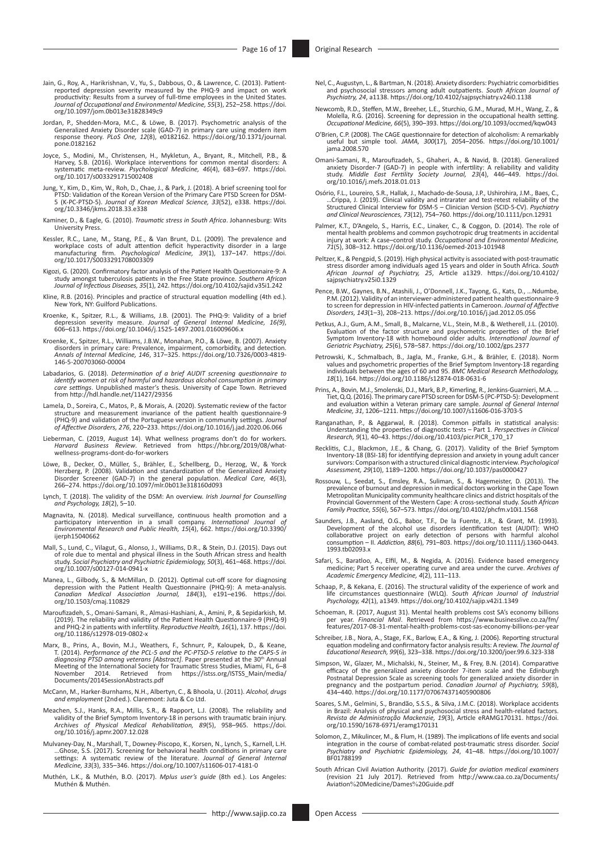- Jain, G., Roy, A., Harikrishnan, V., Yu, S., Dabbous, O., & Lawrence, C. (2013). Patient-<br>reported depression severity measured by the PHQ-9 and impact on work<br>productivity: Results from a survey of full-time employees in [org/10.1097/jom.0b013e31828349c9](https://doi.org/10.1097/jom.0b013e31828349c9)
- Jordan, P., Shedden-Mora, M.C., & Löwe, B. (2017). Psychometric analysis of the<br>Generalized Anxiety Disorder scale (GAD-7) in primary care using modern item<br>response theory. *PLoS One, 12(8)*, e0182162. https://doi.org/10. [pone.0182162](https://doi.org/10.1371/journal.pone.0182162)
- Joyce, S., Modini, M., Christensen, H., Mykletun, A., Bryant, R., Mitchell, P.B., & Harvey, S.B. (2016). Workplace interventions for common mental disorders: A systematic meta-review. *Psychological Medicine, 46*(4), 683–697. [https://doi.](https://doi.org/10.1017/s0033291715002408) [org/10.1017/s0033291715002408](https://doi.org/10.1017/s0033291715002408)
- Jung, Y., Kim, D., Kim, W., Roh, D., Chae, J., & Park, J. (2018). A brief screening tool for<br>PTSD: Validation of the Korean Version of the Primary Care PTSD Screen for DSM-<br>5 (K-PC-PTSD-5). *Journal of Korean Medical Scien* [org/10.3346/jkms.2018.33.e338](https://doi.org/10.3346/jkms.2018.33.e338)
- Kaminer, D., & Eagle, G. (2010). *Traumatic stress in South Africa*. Johannesburg: Wits University Press.
- Kessler, R.C., Lane, M., Stang, P.E., & Van Brunt, D.L. (2009). The prevalence and workplace costs of adult attention deficit hyperactivity disorder in a large<br>manufacturing firm. *Psychological Medicine, 39*(1), 137–147. [https://doi.](https://doi.org/10.1017/S0033291708003309)<br>[org/10.1017/S0033291708003309](https://doi.org/10.1017/S0033291708003309)
- Kigozi, G. (2020). Confirmatory factor analysis of the Patient Health Questionnaire-9: A study amongst tuberculosis patients in the Free State province. *Southern African Journal of Infectious Diseases, 35*(1), 242.<https://doi.org/10.4102/sajid.v35i1.242>
- Kline, R.B. (2016). Principles and practice of structural equation modelling (4th ed.). New York, NY: Guilford Publications.
- Kroenke, K., Spitzer, R.L., & Williams, J.B. (2001). The PHQ-9: Validity of a brief depression severity measure. *Journal of General Internal Medicine, 16(9)*, 606–613. <https://doi.org/10.1046/j.1525-1497.2001.016009606.x>
- Kroenke, K., Spitzer, R.L., Williams, J.B.W., Monahan, P.O., & Löwe, B. (2007). Anxiety disorders in primary care: Prevalence, impairment, comorbidity, and detection. *Annals of Internal Medicine, 146*, 317–325. [https://doi.org/10.7326/0003-4819-](https://doi.org/10.7326/0003-4819-146-5-200703060-00004) [146-5-200703060-00004](https://doi.org/10.7326/0003-4819-146-5-200703060-00004)
- Labadarios, G. (2018). *Determination of a brief AUDIT screening questionnaire to identify women at risk of harmful and hazardous alcohol consumption in primary care settings*. Unpublished master's thesis. University of Cape Town. Retrieved from<http://hdl.handle.net/11427/29356>
- Lamela, D., Soreira, C., Matos, P., & Morais, A. (2020). Systematic review of the factor structure and measurement invariance of the patient health questionnaire-9 (PHQ-9) and validation of the Portuguese version in community settings. *Journal of Affective Disorders, 276*, 220–233. <https://doi.org/10.1016/j.jad.2020.06.066>
- Lieberman, C. (2019, August 14). What wellness programs don't do for workers. *Harvard Business Review*. Retrieved from [https://hbr.org/2019/08/what](https://hbr.org/2019/08/what-wellness-programs-dont-do-for-workers)[wellness-programs-dont-do-for-workers](https://hbr.org/2019/08/what-wellness-programs-dont-do-for-workers)
- Löwe, B., Decker, O., Müller, S., Brähler, E., Schellberg, D., Herzog, W., & Yorck<br>Herzberg, P. (2008). Validation and standardization of the Generalized Anxiety<br>Disorder Screener (GAD-7) in the general population. *Medica*
- Lynch, T. (2018). The validity of the DSM: An overview. *Irish Journal for Counselling and Psychology, 18*(2), 5–10.
- Magnavita, N. (2018). Medical surveillance, continuous health promotion and a<br>participatory intervention in a small company. International Journal of<br>Environmental Research and Public Health, 15(4), 662. https://doi.org/10 [ijerph15040662](https://doi.org/10.3390/ijerph15040662)
- Mall, S., Lund, C., Vilagut, G., Alonso, J., Williams, D.R., & Stein, D.J. (2015). Days out<br>of role due to mental and physical illness in the South African stress and health<br>study. Social Psychiatry and Psychiatric Epidemi [org/10.1007/s00127-014-0941-x](https://doi.org/10.1007/s00127-014-0941-x)
- Manea, L., Gilbody, S., & McMillan, D. (2012). Optimal cut-off score for diagnosing<br>depression with the Patient Health Questionnaire (PHQ-9): A meta-analysis.<br>Canadian Medical Association Journal, 184(3), e191–e196. https: [org/10.1503/cmaj.110829](https://doi.org/10.1503/cmaj.110829)
- Maroufizadeh, S., Omani-Samani, R., Almasi-Hashiani, A., Amini, P., & Sepidarkish, M. (2019). The reliability and validity of the Patient Health Questionnaire-9 (PHQ-9) and PHQ-2 in patients with infertility. *Reproductive Health, 16*(1), 137. [https://doi.](https://doi.org/10.1186/s12978-019-0802-x) [org/10.1186/s12978-019-0802-x](https://doi.org/10.1186/s12978-019-0802-x)
- Marx, B., Prins, A., Bovin, M.J., Weathers, F., Schnurr, P., Kaloupek, D., & Keane, T. (2014). *Performance of the PCL-5 and the PC-PTSD-5 relative to the CAPS-5 in diagnosing PTSD armong veterans (Abstract). Paper present* [Documents/2014SessionAbstracts.pdf](https://istss.org/ISTSS_Main/media/Documents/2014SessionAbstracts.pdf)
- McCann, M., Harker-Burnhams, N.H., Albertyn, C., & Bhoola, U. (2011). *Alcohol, drugs and employment* (2nd ed.). Claremont: Juta & Co Ltd.
- Meachen, S.J., Hanks, R.A., Millis, S.R., & Rapport, L.J. (2008). The reliability and validity of the Brief Symptom Inventory-18 in persons with traumatic brain injury. *Archives of Physical Medical Rehabilitation, 89*(5), 958–965. [https://doi.](https://doi.org/10.1016/j.apmr.2007.12.028) [org/10.1016/j.apmr.2007.12.028](https://doi.org/10.1016/j.apmr.2007.12.028)
- Mulvaney-Day, N., Marshall, T., Downey-Piscopo, K., Korsen, N., Lynch, S., Karnell, L.H.<br>Ghose, S.S. (2017). Screening for behavioral health conditions in primary care...<br>settings: A systematic review of the literature. Jo *Medicine, 33*(3), 335–346. <https://doi.org/10.1007/s11606-017-4181-0>
- Muthén, L.K., & Muthén, B.O. (2017). *Mplus user's guide* (8th ed.). Los Angeles: Muthén & Muthén.
- Nel, C., Augustyn, L., & Bartman, N. (2018). Anxiety disorders: Psychiatric comorbidities and psychosocial stressors among adult outpatients. *South African Journal of Psychiatry, 24*, a1138.<https://doi.org/10.4102/sajpsychiatry.v24i0.1138>
- Newcomb, R.D., Steffen, M.W., Breeher, L.E., Sturchio, G.M., Murad, M.H., Wang, Z., & Molella, R.G. (2016). Screening for depression in the occupational health setting. *Occupational Medicine, 66*(5), 390–393.<https://doi.org/10.1093/occmed/kqw043>
- O'Brien, C.P. (2008). The CAGE questionnaire for detection of alcoholism: A remarkably useful but simple tool. *JAMA, 300*(17), 2054–2056. [https://doi.org/10.1001/](https://doi.org/10.1001/jama.2008.570) [jama.2008.570](https://doi.org/10.1001/jama.2008.570)
- Omani-Samani, R., Maroufizadeh, S., Ghaheri, A., & Navid, B. (2018). Generalized<br>anxiety Disorder-7 (GAD-7) in people with infertility: A reliability and validity<br>study. *Middle East Fertility Society Journal, 23*(4), 446– [org/10.1016/j.mefs.2018.01.013](https://doi.org/10.1016/j.mefs.2018.01.013)
- Osório, F.L., Loureiro, S.R., Hallak, J., Machado-de-Sousa, J.P., Ushirohira, J.M., Baes, C., ...Crippa, J. (2019). Clinical validity and intrarater and test-retest reliability of the<br>Structured Clinical Interview for DSM-5 – Clinician Version (SCID-5-CV). *Psychiatry*<br>*and Clinical Neurosciences, 73*(12), 754–760.
- Palmer, K.T., D'Angelo, S., Harris, E.C., Linaker, C., & Coggon, D. (2014). The role of mental health problems and common psychotropic drug treatments in accidental<br>injury at work: A case–control study. *Occupational and Environmental Medicine,*<br>71(5), 308–312.<https://doi.org/10.1136/oemed-2013-101948>
- Peltzer, K., & Pengpid, S. (2019). High physical activity is associated with post-traumatic stress disorder among individuals aged 15 years and older in South Africa. *South African Journal of Psychiatry, 25*, Article a1329. [https://doi.org/10.4102/](https://doi.org/10.4102/sajpsychiatry.v25i0.1329) [sajpsychiatry.v25i0.1329](https://doi.org/10.4102/sajpsychiatry.v25i0.1329)
- Pence, B.W., Gaynes, B.N., Atashili, J., O'Donnell, J.K., Tayong, G., Kats, D., …Ndumbe, P.M. (2012). Validity of an interviewer-administered patient health questionnaire-9 to screen for depression in HIV-infected patients in Cameroon. *Journal of Affective Disorders, 143*(1–3), 208–213.<https://doi.org/10.1016/j.jad.2012.05.056>
- Petkus, A.J., Gum, A.M., Small, B., Malcarne, V.L., Stein, M.B., & Wetherell, J.L. (2010). Evaluation of the factor structure and psychometric properties of the Brief Symptom Inventory-18 with homebound older adults. *International Journal of Geriatric Psychiatry, 25*(6), 578–587. <https://doi.org/10.1002/gps.2377>
- Petrowski, K., Schmalbach, B., Jagla, M., Franke, G.H., & Brähler, E. (2018). Norm values and psychometric properties of the Brief Symptom Inventory-18 regarding individuals between the ages of 60 and 95. *BMC Medical Research Methodology, 18*(1), 164.<https://doi.org/10.1186/s12874-018-0631-6>
- Prins, A., Bovin, M.J., Smolenski, D.J., Mark, B.P., Kimerling, R., Jenkins-Guarnieri, M.A. ...<br>Tiet, Q.Q. (2016). The primary care PTSD screen for DSM-5 (PC-PTSD-5): Development<br>and evaluation within a Veteran primary car *Medicine, 31*, 1206–1211.<https://doi.org/10.1007/s11606-016-3703-5>
- Ranganathan, P., & Aggarwal, R. (2018). Common pitfalls in statistical analysis: Understanding the properties of diagnostic tests Part 1. *Perspectives in Clinical Research, 9*(1), 40–43. [https://doi.org/10.4103/picr.PICR\\_170\\_17](https://doi.org/10.4103/picr.PICR_170_17)
- Recklitis, C.J., Blackmon, J.E., & Chang, G. (2017). Validity of the Brief Symptom Inventory-18 (BSI-18) for identifying depression and anxiety in young adult cancer survivors: Comparison with a structured clinical diagnostic interview. *Psychological Assessment, 29*(10), 1189–1200. <https://doi.org/10.1037/pas0000427>
- Rossouw, L., Seedat, S., Emsley, R.A., Suliman, S., & Hagemeister, D. (2013). The prevalence of burnout and depression in medical doctors working in the Cape Town Metropolitan Municipality community healthcare clinics and district hospitals of the Provincial Government of the Western Cape: A cross-sectional study. *South African Family Practice, 55*(6), 567–573.<https://doi.org/10.4102/phcfm.v10i1.1568>
- Saunders, J.B., Aasland, O.G., Babor, T.F., De la Fuente, J.R., & Grant, M. (1993).<br>Development of the alcohol use disorders identification test (AUDIT): WHO<br>collaborative project on early detection of persons with harmful [1993.tb02093.x](https://doi.org/10.1111/j.1360-0443.1993.tb02093.x)
- Safari, S., Baratloo, A., Elfil, M., & Negida, A. (2016). Evidence based emergency medicine; Part 5 receiver operating curve and area under the curve. *Archives of Academic Emergency Medicine, 4*(2), 111–113.
- Schaap, P., & Kekana, E. (2016). The structural validity of the experience of work and<br>life circumstances questionnaire (WLQ). South African Journal of Industrial<br>Psychology, 42(1), a1349. https://doi.org/10.4102/sajip.v42
- Schoeman, R. (2017, August 31). Mental health problems cost SA's economy billions per year. *Financial Mail*. Retrieved from [https://www.businesslive.co.za/fm/](https://www.businesslive.co.za/fm/features/2017-08-31-mental-health-problems-cost-sas-economy-billions-per-year) [features/2017-08-31-mental-health-problems-cost-sas-economy-billions-per-year](https://www.businesslive.co.za/fm/features/2017-08-31-mental-health-problems-cost-sas-economy-billions-per-year)
- Schreiber, J.B., Nora, A., Stage, F.K., Barlow, E.A., & King, J. (2006). Reporting structural equation modeling and confirmatory factor analysis results: A review. *The Journal of Educational Research, 99*(6), 323–338. <https://doi.org/10.3200/joer.99.6.323-338>
- Simpson, W., Glazer, M., Michalski, N., Steiner, M., & Frey, B.N. (2014). Comparative efficacy of the generalized anxiety disorder 7-item scale and the Edinburgh Postnatal Depression Scale as screening tools for generalize
- Soares, S.M., Gelmini, S., Brandão, S.S.S., & Silva, J.M.C. (2018). Workplace accidents in Brazil: Analysis of physical and psychosocial stress and health-related factors. *Revista de Administração Mackenzie, 19*(3), Article eRAMG170131. [https://doi.](https://doi.org/10.1590/1678-6971/eramg170131) [org/10.1590/1678-6971/eramg170131](https://doi.org/10.1590/1678-6971/eramg170131)
- Solomon, Z., Mikulincer, M., & Flum, H. (1989). The implications of life events and social integration in the course of combat-related post-traumatic stress disorder. *Social Psychiatry and Psychiatric Epidemiology, 24*, 41–48. [https://doi.org/10.1007/](https://doi.org/10.1007/BF01788199) [BF01788199](https://doi.org/10.1007/BF01788199)
- South African Civil Aviation Authority. (2017). *Guide for aviation medical examiners* (revision 21 July 2017). Retrieved from [http://www.caa.co.za/Documents/](http://www.caa.co.za/Documents/Aviation%20Medicine/Dames%20Guide.pdf) Aviation%[20Medicine/Dames](http://www.caa.co.za/Documents/Aviation%20Medicine/Dames%20Guide.pdf)%20Guide.pdf